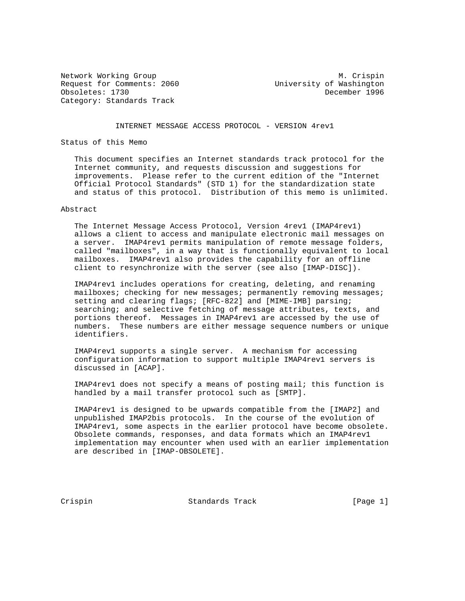Request for Comments: 2060 University of Washington Obsoletes: 1730 December 1996 Category: Standards Track

Network Working Group Metwork Working Group Metwork Metwork Metaphology Metwork Metaphology Metaphology Metaphology Metaphology Metaphology Metaphology Metaphology Metaphology Metaphology Metaphology Metaphology Metapholog

INTERNET MESSAGE ACCESS PROTOCOL - VERSION 4rev1

Status of this Memo

 This document specifies an Internet standards track protocol for the Internet community, and requests discussion and suggestions for improvements. Please refer to the current edition of the "Internet Official Protocol Standards" (STD 1) for the standardization state and status of this protocol. Distribution of this memo is unlimited.

### Abstract

 The Internet Message Access Protocol, Version 4rev1 (IMAP4rev1) allows a client to access and manipulate electronic mail messages on a server. IMAP4rev1 permits manipulation of remote message folders, called "mailboxes", in a way that is functionally equivalent to local mailboxes. IMAP4rev1 also provides the capability for an offline client to resynchronize with the server (see also [IMAP-DISC]).

 IMAP4rev1 includes operations for creating, deleting, and renaming mailboxes; checking for new messages; permanently removing messages; setting and clearing flags; [RFC-822] and [MIME-IMB] parsing; searching; and selective fetching of message attributes, texts, and portions thereof. Messages in IMAP4rev1 are accessed by the use of numbers. These numbers are either message sequence numbers or unique identifiers.

 IMAP4rev1 supports a single server. A mechanism for accessing configuration information to support multiple IMAP4rev1 servers is discussed in [ACAP].

 IMAP4rev1 does not specify a means of posting mail; this function is handled by a mail transfer protocol such as [SMTP].

 IMAP4rev1 is designed to be upwards compatible from the [IMAP2] and unpublished IMAP2bis protocols. In the course of the evolution of IMAP4rev1, some aspects in the earlier protocol have become obsolete. Obsolete commands, responses, and data formats which an IMAP4rev1 implementation may encounter when used with an earlier implementation are described in [IMAP-OBSOLETE].

Crispin Crispin Standards Track [Page 1]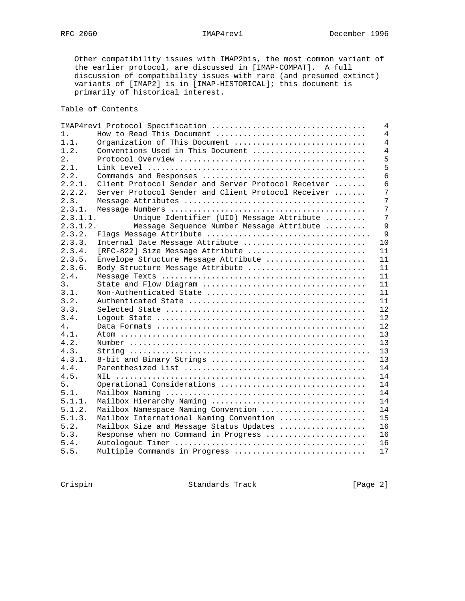Other compatibility issues with IMAP2bis, the most common variant of the earlier protocol, are discussed in [IMAP-COMPAT]. A full discussion of compatibility issues with rare (and presumed extinct) variants of [IMAP2] is in [IMAP-HISTORICAL]; this document is primarily of historical interest.

# Table of Contents

|                               | $\overline{4}$                                                                                                                                                                                                                                                                                                                                                                                                                                                                                                                                                                                                                                                                           |
|-------------------------------|------------------------------------------------------------------------------------------------------------------------------------------------------------------------------------------------------------------------------------------------------------------------------------------------------------------------------------------------------------------------------------------------------------------------------------------------------------------------------------------------------------------------------------------------------------------------------------------------------------------------------------------------------------------------------------------|
| How to Read This Document     | 4                                                                                                                                                                                                                                                                                                                                                                                                                                                                                                                                                                                                                                                                                        |
| Organization of This Document | $\overline{4}$                                                                                                                                                                                                                                                                                                                                                                                                                                                                                                                                                                                                                                                                           |
|                               | 4                                                                                                                                                                                                                                                                                                                                                                                                                                                                                                                                                                                                                                                                                        |
|                               | 5                                                                                                                                                                                                                                                                                                                                                                                                                                                                                                                                                                                                                                                                                        |
|                               | 5                                                                                                                                                                                                                                                                                                                                                                                                                                                                                                                                                                                                                                                                                        |
|                               | 6                                                                                                                                                                                                                                                                                                                                                                                                                                                                                                                                                                                                                                                                                        |
|                               | 6                                                                                                                                                                                                                                                                                                                                                                                                                                                                                                                                                                                                                                                                                        |
|                               | 7                                                                                                                                                                                                                                                                                                                                                                                                                                                                                                                                                                                                                                                                                        |
|                               | 7                                                                                                                                                                                                                                                                                                                                                                                                                                                                                                                                                                                                                                                                                        |
|                               | 7                                                                                                                                                                                                                                                                                                                                                                                                                                                                                                                                                                                                                                                                                        |
| 2.3.1.1.                      | 7                                                                                                                                                                                                                                                                                                                                                                                                                                                                                                                                                                                                                                                                                        |
| 2.3.1.2.                      | 9                                                                                                                                                                                                                                                                                                                                                                                                                                                                                                                                                                                                                                                                                        |
|                               | 9                                                                                                                                                                                                                                                                                                                                                                                                                                                                                                                                                                                                                                                                                        |
|                               | 10                                                                                                                                                                                                                                                                                                                                                                                                                                                                                                                                                                                                                                                                                       |
|                               | 11                                                                                                                                                                                                                                                                                                                                                                                                                                                                                                                                                                                                                                                                                       |
|                               | 11                                                                                                                                                                                                                                                                                                                                                                                                                                                                                                                                                                                                                                                                                       |
|                               | 11                                                                                                                                                                                                                                                                                                                                                                                                                                                                                                                                                                                                                                                                                       |
|                               | 11                                                                                                                                                                                                                                                                                                                                                                                                                                                                                                                                                                                                                                                                                       |
|                               | 11                                                                                                                                                                                                                                                                                                                                                                                                                                                                                                                                                                                                                                                                                       |
|                               | 11                                                                                                                                                                                                                                                                                                                                                                                                                                                                                                                                                                                                                                                                                       |
|                               | 11                                                                                                                                                                                                                                                                                                                                                                                                                                                                                                                                                                                                                                                                                       |
|                               | 12                                                                                                                                                                                                                                                                                                                                                                                                                                                                                                                                                                                                                                                                                       |
|                               | 12                                                                                                                                                                                                                                                                                                                                                                                                                                                                                                                                                                                                                                                                                       |
|                               | 12                                                                                                                                                                                                                                                                                                                                                                                                                                                                                                                                                                                                                                                                                       |
|                               | 13                                                                                                                                                                                                                                                                                                                                                                                                                                                                                                                                                                                                                                                                                       |
|                               | 13                                                                                                                                                                                                                                                                                                                                                                                                                                                                                                                                                                                                                                                                                       |
|                               | 13                                                                                                                                                                                                                                                                                                                                                                                                                                                                                                                                                                                                                                                                                       |
|                               | 13                                                                                                                                                                                                                                                                                                                                                                                                                                                                                                                                                                                                                                                                                       |
|                               | 14                                                                                                                                                                                                                                                                                                                                                                                                                                                                                                                                                                                                                                                                                       |
|                               | 14                                                                                                                                                                                                                                                                                                                                                                                                                                                                                                                                                                                                                                                                                       |
|                               |                                                                                                                                                                                                                                                                                                                                                                                                                                                                                                                                                                                                                                                                                          |
|                               | 14<br>14                                                                                                                                                                                                                                                                                                                                                                                                                                                                                                                                                                                                                                                                                 |
|                               |                                                                                                                                                                                                                                                                                                                                                                                                                                                                                                                                                                                                                                                                                          |
|                               | 14                                                                                                                                                                                                                                                                                                                                                                                                                                                                                                                                                                                                                                                                                       |
|                               | 14                                                                                                                                                                                                                                                                                                                                                                                                                                                                                                                                                                                                                                                                                       |
|                               | 15                                                                                                                                                                                                                                                                                                                                                                                                                                                                                                                                                                                                                                                                                       |
|                               | 16                                                                                                                                                                                                                                                                                                                                                                                                                                                                                                                                                                                                                                                                                       |
|                               | 16                                                                                                                                                                                                                                                                                                                                                                                                                                                                                                                                                                                                                                                                                       |
|                               | 16                                                                                                                                                                                                                                                                                                                                                                                                                                                                                                                                                                                                                                                                                       |
|                               | 17                                                                                                                                                                                                                                                                                                                                                                                                                                                                                                                                                                                                                                                                                       |
|                               | Conventions Used in This Document<br>Client Protocol Sender and Server Protocol Receiver<br>Server Protocol Sender and Client Protocol Receiver<br>Unique Identifier (UID) Message Attribute<br>Message Sequence Number Message Attribute<br>Internal Date Message Attribute<br>[RFC-822] Size Message Attribute<br>Envelope Structure Message Attribute<br>Body Structure Message Attribute<br>8-bit and Binary Strings<br>Operational Considerations<br>Mailbox Hierarchy Naming<br>Mailbox Namespace Naming Convention<br>Mailbox International Naming Convention<br>Mailbox Size and Message Status Updates<br>Response when no Command in Progress<br>Multiple Commands in Progress |

Crispin Standards Track [Page 2]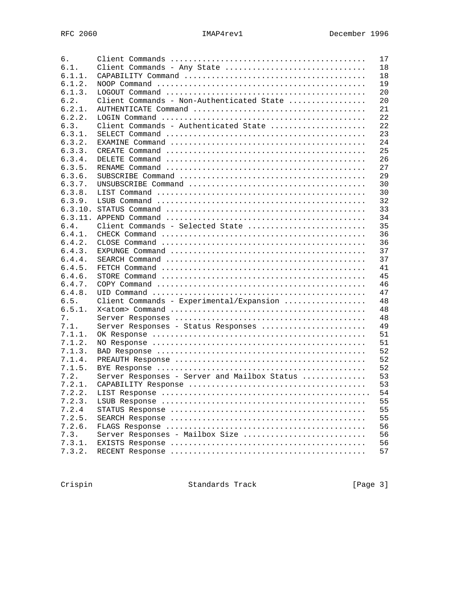| б.      |                                              | 17 |
|---------|----------------------------------------------|----|
| 6.1.    | Client Commands - Any State                  | 18 |
| 6.1.1.  |                                              | 18 |
| 6.1.2.  |                                              | 19 |
| 6.1.3.  |                                              | 20 |
| 6.2.    | Client Commands - Non-Authenticated State    | 20 |
| 6.2.1.  |                                              | 21 |
| 6.2.2.  |                                              | 22 |
| 6.3.    | Client Commands - Authenticated State        | 22 |
| 6.3.1.  |                                              | 23 |
| 6.3.2.  |                                              | 24 |
| 6.3.3.  |                                              | 25 |
| 6.3.4.  |                                              | 26 |
| 6.3.5.  |                                              | 27 |
| 6.3.6.  |                                              | 29 |
| 6.3.7.  |                                              | 30 |
| 6.3.8.  |                                              | 30 |
| 6.3.9.  |                                              | 32 |
| 6.3.10. |                                              | 33 |
| 6.3.11. |                                              | 34 |
| 6.4.    | Client Commands - Selected State             | 35 |
| 6.4.1.  |                                              | 36 |
| 6.4.2.  |                                              | 36 |
| 6.4.3.  |                                              | 37 |
| 6.4.4.  |                                              | 37 |
| 6.4.5.  |                                              | 41 |
| 6.4.6.  |                                              | 45 |
| 6.4.7.  |                                              | 46 |
| 6.4.8.  |                                              | 47 |
| 6.5.    | Client Commands - Experimental/Expansion     | 48 |
| 6.5.1.  |                                              | 48 |
| 7.      |                                              | 48 |
| 7.1.    | Server Responses - Status Responses          | 49 |
| 7.1.1.  |                                              | 51 |
| 7.1.2.  |                                              | 51 |
| 7.1.3.  |                                              | 52 |
| 7.1.4.  |                                              | 52 |
| 7.1.5.  |                                              | 52 |
| 7.2.    | Server Responses - Server and Mailbox Status | 53 |
| 7.2.1.  |                                              | 53 |
| 7 2 2   |                                              | 54 |
| 7.2.3.  |                                              | 55 |
| 7.2.4   |                                              | 55 |
| 7.2.5.  |                                              | 55 |
| 7.2.6.  |                                              | 56 |
| 7.3.    | Server Responses - Mailbox Size              | 56 |
| 7.3.1.  |                                              | 56 |
| 7.3.2.  |                                              | 57 |

Crispin Standards Track [Page 3]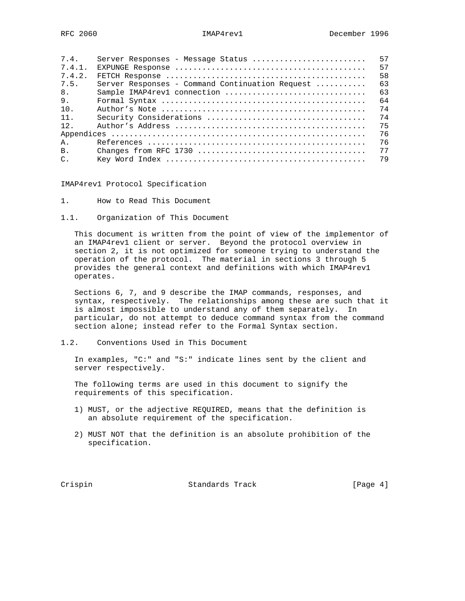| 7.4.   | Server Responses - Message Status               | 57 |
|--------|-------------------------------------------------|----|
| 7.4.1. |                                                 | 57 |
| 7.4.2. |                                                 | 58 |
| 7.5.   | Server Responses - Command Continuation Request | 63 |
| 8.     | Sample IMAP4rev1 connection                     | 63 |
| 9.     |                                                 | 64 |
| 10.    |                                                 | 74 |
| 11.    |                                                 | 74 |
| 12.    |                                                 | 75 |
|        |                                                 | 76 |
| Α.     |                                                 | 76 |
| B.     |                                                 | 77 |
| $C$ .  |                                                 | 79 |

IMAP4rev1 Protocol Specification

- 1. How to Read This Document
- 1.1. Organization of This Document

 This document is written from the point of view of the implementor of an IMAP4rev1 client or server. Beyond the protocol overview in section 2, it is not optimized for someone trying to understand the operation of the protocol. The material in sections 3 through 5 provides the general context and definitions with which IMAP4rev1 operates.

 Sections 6, 7, and 9 describe the IMAP commands, responses, and syntax, respectively. The relationships among these are such that it is almost impossible to understand any of them separately. In particular, do not attempt to deduce command syntax from the command section alone; instead refer to the Formal Syntax section.

1.2. Conventions Used in This Document

 In examples, "C:" and "S:" indicate lines sent by the client and server respectively.

 The following terms are used in this document to signify the requirements of this specification.

- 1) MUST, or the adjective REQUIRED, means that the definition is an absolute requirement of the specification.
- 2) MUST NOT that the definition is an absolute prohibition of the specification.

Crispin Crispin Standards Track [Page 4]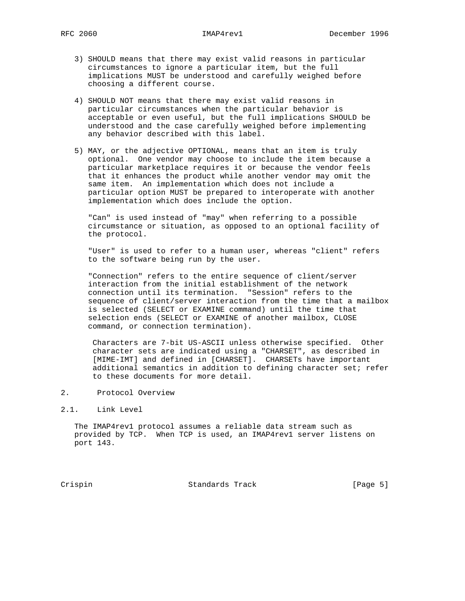- 3) SHOULD means that there may exist valid reasons in particular circumstances to ignore a particular item, but the full implications MUST be understood and carefully weighed before choosing a different course.
- 4) SHOULD NOT means that there may exist valid reasons in particular circumstances when the particular behavior is acceptable or even useful, but the full implications SHOULD be understood and the case carefully weighed before implementing any behavior described with this label.
- 5) MAY, or the adjective OPTIONAL, means that an item is truly optional. One vendor may choose to include the item because a particular marketplace requires it or because the vendor feels that it enhances the product while another vendor may omit the same item. An implementation which does not include a particular option MUST be prepared to interoperate with another implementation which does include the option.

 "Can" is used instead of "may" when referring to a possible circumstance or situation, as opposed to an optional facility of the protocol.

 "User" is used to refer to a human user, whereas "client" refers to the software being run by the user.

 "Connection" refers to the entire sequence of client/server interaction from the initial establishment of the network connection until its termination. "Session" refers to the sequence of client/server interaction from the time that a mailbox is selected (SELECT or EXAMINE command) until the time that selection ends (SELECT or EXAMINE of another mailbox, CLOSE command, or connection termination).

 Characters are 7-bit US-ASCII unless otherwise specified. Other character sets are indicated using a "CHARSET", as described in [MIME-IMT] and defined in [CHARSET]. CHARSETs have important additional semantics in addition to defining character set; refer to these documents for more detail.

- 2. Protocol Overview
- 2.1. Link Level

 The IMAP4rev1 protocol assumes a reliable data stream such as provided by TCP. When TCP is used, an IMAP4rev1 server listens on port 143.

Crispin Standards Track [Page 5]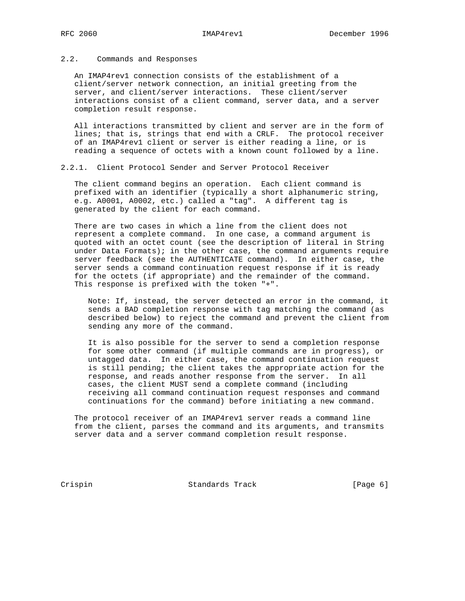### 2.2. Commands and Responses

 An IMAP4rev1 connection consists of the establishment of a client/server network connection, an initial greeting from the server, and client/server interactions. These client/server interactions consist of a client command, server data, and a server completion result response.

 All interactions transmitted by client and server are in the form of lines; that is, strings that end with a CRLF. The protocol receiver of an IMAP4rev1 client or server is either reading a line, or is reading a sequence of octets with a known count followed by a line.

2.2.1. Client Protocol Sender and Server Protocol Receiver

 The client command begins an operation. Each client command is prefixed with an identifier (typically a short alphanumeric string, e.g. A0001, A0002, etc.) called a "tag". A different tag is generated by the client for each command.

 There are two cases in which a line from the client does not represent a complete command. In one case, a command argument is quoted with an octet count (see the description of literal in String under Data Formats); in the other case, the command arguments require server feedback (see the AUTHENTICATE command). In either case, the server sends a command continuation request response if it is ready for the octets (if appropriate) and the remainder of the command. This response is prefixed with the token "+".

 Note: If, instead, the server detected an error in the command, it sends a BAD completion response with tag matching the command (as described below) to reject the command and prevent the client from sending any more of the command.

 It is also possible for the server to send a completion response for some other command (if multiple commands are in progress), or untagged data. In either case, the command continuation request is still pending; the client takes the appropriate action for the response, and reads another response from the server. In all cases, the client MUST send a complete command (including receiving all command continuation request responses and command continuations for the command) before initiating a new command.

 The protocol receiver of an IMAP4rev1 server reads a command line from the client, parses the command and its arguments, and transmits server data and a server command completion result response.

Crispin Crispin Standards Track [Page 6]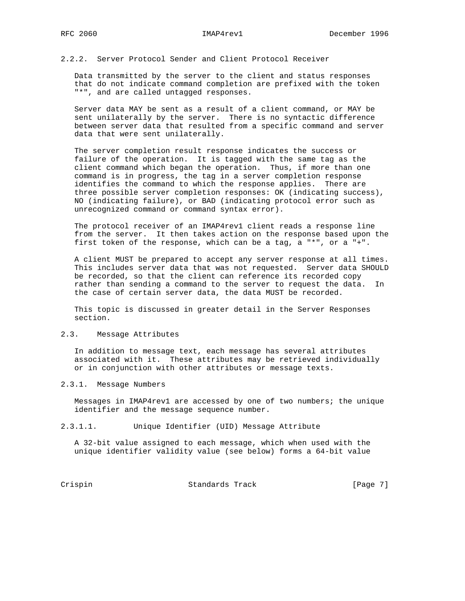# 2.2.2. Server Protocol Sender and Client Protocol Receiver

 Data transmitted by the server to the client and status responses that do not indicate command completion are prefixed with the token "\*", and are called untagged responses.

 Server data MAY be sent as a result of a client command, or MAY be sent unilaterally by the server. There is no syntactic difference between server data that resulted from a specific command and server data that were sent unilaterally.

 The server completion result response indicates the success or failure of the operation. It is tagged with the same tag as the client command which began the operation. Thus, if more than one command is in progress, the tag in a server completion response identifies the command to which the response applies. There are three possible server completion responses: OK (indicating success), NO (indicating failure), or BAD (indicating protocol error such as unrecognized command or command syntax error).

 The protocol receiver of an IMAP4rev1 client reads a response line from the server. It then takes action on the response based upon the first token of the response, which can be a tag, a "\*", or a "+".

 A client MUST be prepared to accept any server response at all times. This includes server data that was not requested. Server data SHOULD be recorded, so that the client can reference its recorded copy rather than sending a command to the server to request the data. In the case of certain server data, the data MUST be recorded.

 This topic is discussed in greater detail in the Server Responses section.

# 2.3. Message Attributes

 In addition to message text, each message has several attributes associated with it. These attributes may be retrieved individually or in conjunction with other attributes or message texts.

### 2.3.1. Message Numbers

 Messages in IMAP4rev1 are accessed by one of two numbers; the unique identifier and the message sequence number.

### 2.3.1.1. Unique Identifier (UID) Message Attribute

 A 32-bit value assigned to each message, which when used with the unique identifier validity value (see below) forms a 64-bit value

Crispin Crispin Standards Track [Page 7]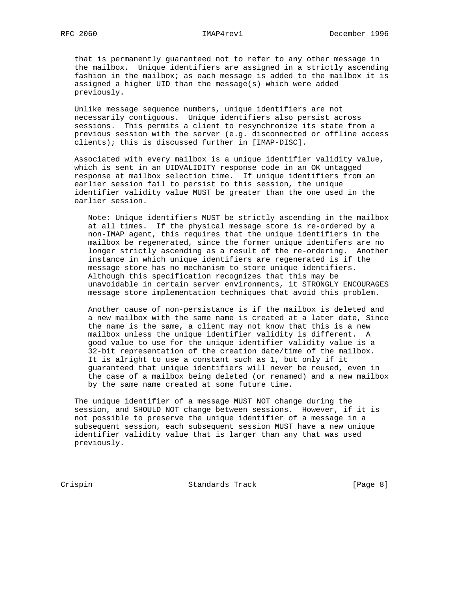that is permanently guaranteed not to refer to any other message in the mailbox. Unique identifiers are assigned in a strictly ascending fashion in the mailbox; as each message is added to the mailbox it is assigned a higher UID than the message(s) which were added previously.

 Unlike message sequence numbers, unique identifiers are not necessarily contiguous. Unique identifiers also persist across sessions. This permits a client to resynchronize its state from a previous session with the server (e.g. disconnected or offline access clients); this is discussed further in [IMAP-DISC].

 Associated with every mailbox is a unique identifier validity value, which is sent in an UIDVALIDITY response code in an OK untagged response at mailbox selection time. If unique identifiers from an earlier session fail to persist to this session, the unique identifier validity value MUST be greater than the one used in the earlier session.

 Note: Unique identifiers MUST be strictly ascending in the mailbox at all times. If the physical message store is re-ordered by a non-IMAP agent, this requires that the unique identifiers in the mailbox be regenerated, since the former unique identifers are no longer strictly ascending as a result of the re-ordering. Another instance in which unique identifiers are regenerated is if the message store has no mechanism to store unique identifiers. Although this specification recognizes that this may be unavoidable in certain server environments, it STRONGLY ENCOURAGES message store implementation techniques that avoid this problem.

 Another cause of non-persistance is if the mailbox is deleted and a new mailbox with the same name is created at a later date, Since the name is the same, a client may not know that this is a new mailbox unless the unique identifier validity is different. A good value to use for the unique identifier validity value is a 32-bit representation of the creation date/time of the mailbox. It is alright to use a constant such as 1, but only if it guaranteed that unique identifiers will never be reused, even in the case of a mailbox being deleted (or renamed) and a new mailbox by the same name created at some future time.

 The unique identifier of a message MUST NOT change during the session, and SHOULD NOT change between sessions. However, if it is not possible to preserve the unique identifier of a message in a subsequent session, each subsequent session MUST have a new unique identifier validity value that is larger than any that was used previously.

Crispin Standards Track [Page 8]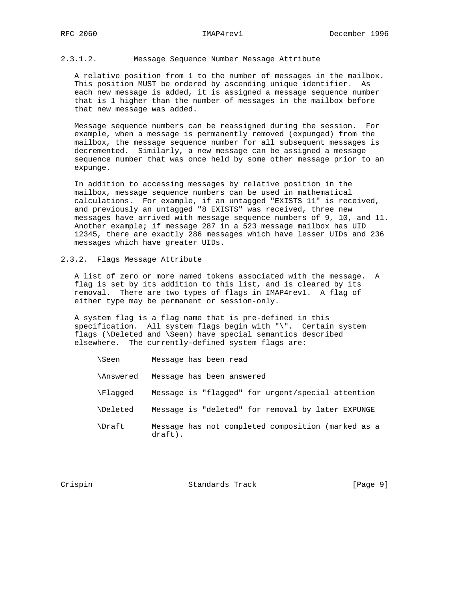# 2.3.1.2. Message Sequence Number Message Attribute

 A relative position from 1 to the number of messages in the mailbox. This position MUST be ordered by ascending unique identifier. As each new message is added, it is assigned a message sequence number that is 1 higher than the number of messages in the mailbox before that new message was added.

 Message sequence numbers can be reassigned during the session. For example, when a message is permanently removed (expunged) from the mailbox, the message sequence number for all subsequent messages is decremented. Similarly, a new message can be assigned a message sequence number that was once held by some other message prior to an expunge.

 In addition to accessing messages by relative position in the mailbox, message sequence numbers can be used in mathematical calculations. For example, if an untagged "EXISTS 11" is received, and previously an untagged "8 EXISTS" was received, three new messages have arrived with message sequence numbers of 9, 10, and 11. Another example; if message 287 in a 523 message mailbox has UID 12345, there are exactly 286 messages which have lesser UIDs and 236 messages which have greater UIDs.

# 2.3.2. Flags Message Attribute

 A list of zero or more named tokens associated with the message. A flag is set by its addition to this list, and is cleared by its removal. There are two types of flags in IMAP4rev1. A flag of either type may be permanent or session-only.

 A system flag is a flag name that is pre-defined in this specification. All system flags begin with "\". Certain system flags (\Deleted and \Seen) have special semantics described elsewhere. The currently-defined system flags are:

- \Seen Message has been read
- \Answered Message has been answered
- \Flagged Message is "flagged" for urgent/special attention
- \Deleted Message is "deleted" for removal by later EXPUNGE
- \Draft Message has not completed composition (marked as a draft).

Crispin Crispin Standards Track [Page 9]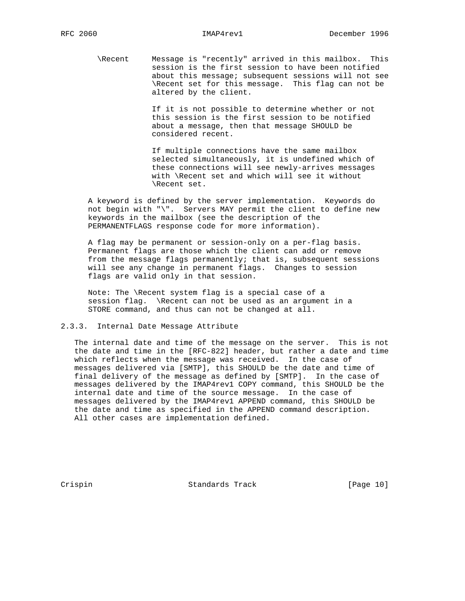\Recent Message is "recently" arrived in this mailbox. This session is the first session to have been notified about this message; subsequent sessions will not see \Recent set for this message. This flag can not be altered by the client.

> If it is not possible to determine whether or not this session is the first session to be notified about a message, then that message SHOULD be considered recent.

> If multiple connections have the same mailbox selected simultaneously, it is undefined which of these connections will see newly-arrives messages with \Recent set and which will see it without \Recent set.

 A keyword is defined by the server implementation. Keywords do not begin with "\". Servers MAY permit the client to define new keywords in the mailbox (see the description of the PERMANENTFLAGS response code for more information).

 A flag may be permanent or session-only on a per-flag basis. Permanent flags are those which the client can add or remove from the message flags permanently; that is, subsequent sessions will see any change in permanent flags. Changes to session flags are valid only in that session.

 Note: The \Recent system flag is a special case of a session flag. \Recent can not be used as an argument in a STORE command, and thus can not be changed at all.

### 2.3.3. Internal Date Message Attribute

 The internal date and time of the message on the server. This is not the date and time in the [RFC-822] header, but rather a date and time which reflects when the message was received. In the case of messages delivered via [SMTP], this SHOULD be the date and time of final delivery of the message as defined by [SMTP]. In the case of messages delivered by the IMAP4rev1 COPY command, this SHOULD be the internal date and time of the source message. In the case of messages delivered by the IMAP4rev1 APPEND command, this SHOULD be the date and time as specified in the APPEND command description. All other cases are implementation defined.

Crispin Crispin Standards Track [Page 10]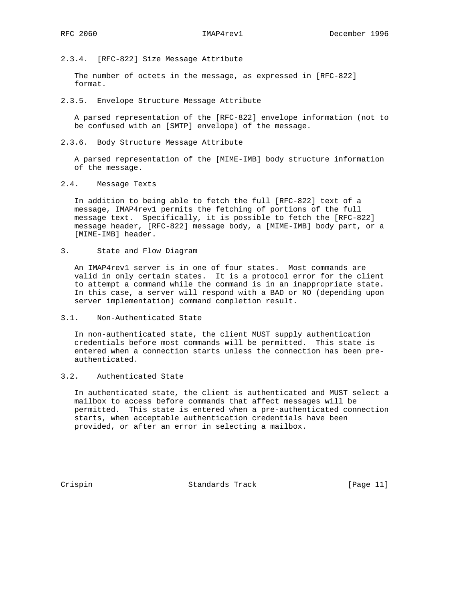2.3.4. [RFC-822] Size Message Attribute

 The number of octets in the message, as expressed in [RFC-822] format.

2.3.5. Envelope Structure Message Attribute

 A parsed representation of the [RFC-822] envelope information (not to be confused with an [SMTP] envelope) of the message.

2.3.6. Body Structure Message Attribute

 A parsed representation of the [MIME-IMB] body structure information of the message.

2.4. Message Texts

 In addition to being able to fetch the full [RFC-822] text of a message, IMAP4rev1 permits the fetching of portions of the full message text. Specifically, it is possible to fetch the [RFC-822] message header, [RFC-822] message body, a [MIME-IMB] body part, or a [MIME-IMB] header.

3. State and Flow Diagram

 An IMAP4rev1 server is in one of four states. Most commands are valid in only certain states. It is a protocol error for the client to attempt a command while the command is in an inappropriate state. In this case, a server will respond with a BAD or NO (depending upon server implementation) command completion result.

3.1. Non-Authenticated State

 In non-authenticated state, the client MUST supply authentication credentials before most commands will be permitted. This state is entered when a connection starts unless the connection has been pre authenticated.

3.2. Authenticated State

 In authenticated state, the client is authenticated and MUST select a mailbox to access before commands that affect messages will be permitted. This state is entered when a pre-authenticated connection starts, when acceptable authentication credentials have been provided, or after an error in selecting a mailbox.

Crispin Standards Track [Page 11]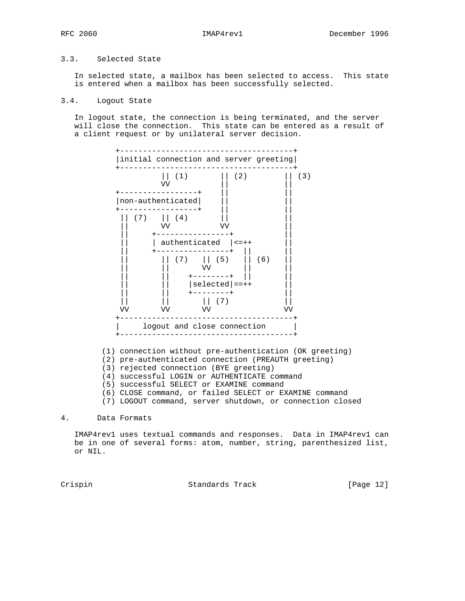# 3.3. Selected State

 In selected state, a mailbox has been selected to access. This state is entered when a mailbox has been successfully selected.

### 3.4. Logout State

 In logout state, the connection is being terminated, and the server will close the connection. This state can be entered as a result of a client request or by unilateral server decision.



(1) connection without pre-authentication (OK greeting)

- (2) pre-authenticated connection (PREAUTH greeting)
- (3) rejected connection (BYE greeting)
- (4) successful LOGIN or AUTHENTICATE command
- (5) successful SELECT or EXAMINE command

(6) CLOSE command, or failed SELECT or EXAMINE command

(7) LOGOUT command, server shutdown, or connection closed

4. Data Formats

 IMAP4rev1 uses textual commands and responses. Data in IMAP4rev1 can be in one of several forms: atom, number, string, parenthesized list, or NIL.

Crispin Standards Track [Page 12]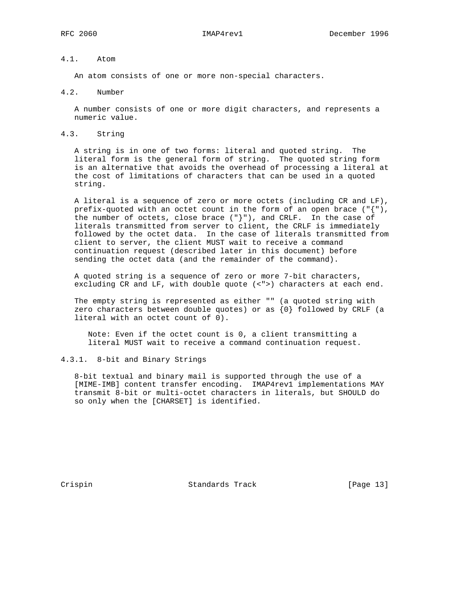# 4.1. Atom

An atom consists of one or more non-special characters.

4.2. Number

 A number consists of one or more digit characters, and represents a numeric value.

4.3. String

 A string is in one of two forms: literal and quoted string. The literal form is the general form of string. The quoted string form is an alternative that avoids the overhead of processing a literal at the cost of limitations of characters that can be used in a quoted string.

 A literal is a sequence of zero or more octets (including CR and LF), prefix-quoted with an octet count in the form of an open brace ("{"), the number of octets, close brace  $(\nabla \cdot \cdot)$ , and CRLF. In the case of literals transmitted from server to client, the CRLF is immediately followed by the octet data. In the case of literals transmitted from client to server, the client MUST wait to receive a command continuation request (described later in this document) before sending the octet data (and the remainder of the command).

 A quoted string is a sequence of zero or more 7-bit characters, excluding CR and LF, with double quote (<">) characters at each end.

 The empty string is represented as either "" (a quoted string with zero characters between double quotes) or as  $\{0\}$  followed by CRLF (a literal with an octet count of 0).

 Note: Even if the octet count is 0, a client transmitting a literal MUST wait to receive a command continuation request.

# 4.3.1. 8-bit and Binary Strings

 8-bit textual and binary mail is supported through the use of a [MIME-IMB] content transfer encoding. IMAP4rev1 implementations MAY transmit 8-bit or multi-octet characters in literals, but SHOULD do so only when the [CHARSET] is identified.

Crispin Standards Track [Page 13]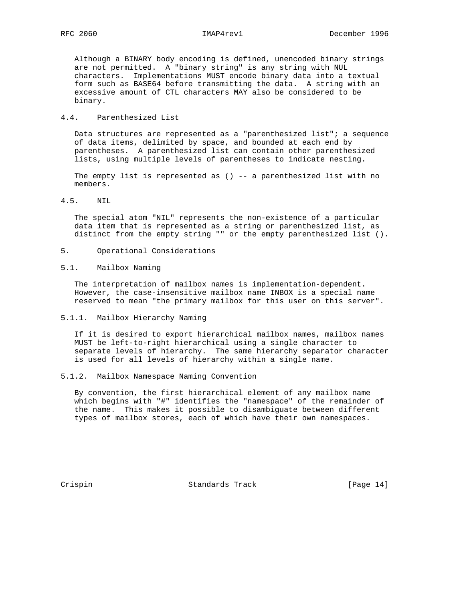Although a BINARY body encoding is defined, unencoded binary strings are not permitted. A "binary string" is any string with NUL characters. Implementations MUST encode binary data into a textual form such as BASE64 before transmitting the data. A string with an excessive amount of CTL characters MAY also be considered to be binary.

# 4.4. Parenthesized List

 Data structures are represented as a "parenthesized list"; a sequence of data items, delimited by space, and bounded at each end by parentheses. A parenthesized list can contain other parenthesized lists, using multiple levels of parentheses to indicate nesting.

The empty list is represented as ()  $-$ - a parenthesized list with no members.

4.5. NIL

 The special atom "NIL" represents the non-existence of a particular data item that is represented as a string or parenthesized list, as distinct from the empty string "" or the empty parenthesized list ().

- 5. Operational Considerations
- 5.1. Mailbox Naming

 The interpretation of mailbox names is implementation-dependent. However, the case-insensitive mailbox name INBOX is a special name reserved to mean "the primary mailbox for this user on this server".

5.1.1. Mailbox Hierarchy Naming

 If it is desired to export hierarchical mailbox names, mailbox names MUST be left-to-right hierarchical using a single character to separate levels of hierarchy. The same hierarchy separator character is used for all levels of hierarchy within a single name.

5.1.2. Mailbox Namespace Naming Convention

 By convention, the first hierarchical element of any mailbox name which begins with "#" identifies the "namespace" of the remainder of the name. This makes it possible to disambiguate between different types of mailbox stores, each of which have their own namespaces.

Crispin Standards Track [Page 14]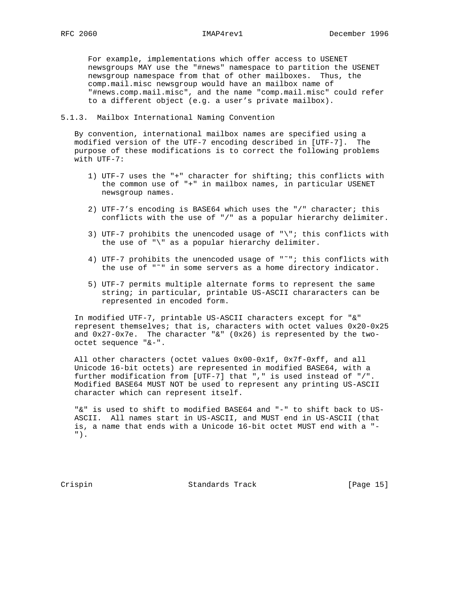For example, implementations which offer access to USENET newsgroups MAY use the "#news" namespace to partition the USENET newsgroup namespace from that of other mailboxes. Thus, the comp.mail.misc newsgroup would have an mailbox name of "#news.comp.mail.misc", and the name "comp.mail.misc" could refer to a different object (e.g. a user's private mailbox).

### 5.1.3. Mailbox International Naming Convention

 By convention, international mailbox names are specified using a modified version of the UTF-7 encoding described in [UTF-7]. The purpose of these modifications is to correct the following problems with UTF-7:

- 1) UTF-7 uses the "+" character for shifting; this conflicts with the common use of "+" in mailbox names, in particular USENET newsgroup names.
- 2) UTF-7's encoding is BASE64 which uses the "/" character; this conflicts with the use of "/" as a popular hierarchy delimiter.
- 3) UTF-7 prohibits the unencoded usage of "\"; this conflicts with the use of "\" as a popular hierarchy delimiter.
- 4) UTF-7 prohibits the unencoded usage of "˜"; this conflicts with the use of "˜" in some servers as a home directory indicator.
- 5) UTF-7 permits multiple alternate forms to represent the same string; in particular, printable US-ASCII chararacters can be represented in encoded form.

 In modified UTF-7, printable US-ASCII characters except for "&" represent themselves; that is, characters with octet values 0x20-0x25 and 0x27-0x7e. The character "&" (0x26) is represented by the two octet sequence "&-".

 All other characters (octet values 0x00-0x1f, 0x7f-0xff, and all Unicode 16-bit octets) are represented in modified BASE64, with a further modification from [UTF-7] that "," is used instead of "/". Modified BASE64 MUST NOT be used to represent any printing US-ASCII character which can represent itself.

 "&" is used to shift to modified BASE64 and "-" to shift back to US- ASCII. All names start in US-ASCII, and MUST end in US-ASCII (that is, a name that ends with a Unicode 16-bit octet MUST end with a "- ").

Crispin Standards Track [Page 15]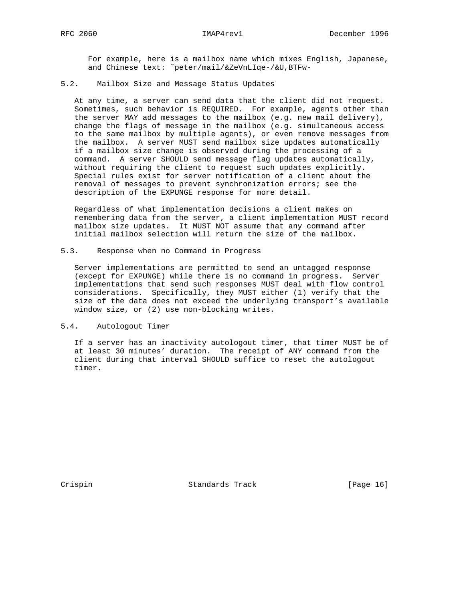For example, here is a mailbox name which mixes English, Japanese, and Chinese text: ˜peter/mail/&ZeVnLIqe-/&U,BTFw-

# 5.2. Mailbox Size and Message Status Updates

 At any time, a server can send data that the client did not request. Sometimes, such behavior is REQUIRED. For example, agents other than the server MAY add messages to the mailbox (e.g. new mail delivery), change the flags of message in the mailbox (e.g. simultaneous access to the same mailbox by multiple agents), or even remove messages from the mailbox. A server MUST send mailbox size updates automatically if a mailbox size change is observed during the processing of a command. A server SHOULD send message flag updates automatically, without requiring the client to request such updates explicitly. Special rules exist for server notification of a client about the removal of messages to prevent synchronization errors; see the description of the EXPUNGE response for more detail.

 Regardless of what implementation decisions a client makes on remembering data from the server, a client implementation MUST record mailbox size updates. It MUST NOT assume that any command after initial mailbox selection will return the size of the mailbox.

# 5.3. Response when no Command in Progress

 Server implementations are permitted to send an untagged response (except for EXPUNGE) while there is no command in progress. Server implementations that send such responses MUST deal with flow control considerations. Specifically, they MUST either (1) verify that the size of the data does not exceed the underlying transport's available window size, or (2) use non-blocking writes.

## 5.4. Autologout Timer

 If a server has an inactivity autologout timer, that timer MUST be of at least 30 minutes' duration. The receipt of ANY command from the client during that interval SHOULD suffice to reset the autologout timer.

Crispin Standards Track [Page 16]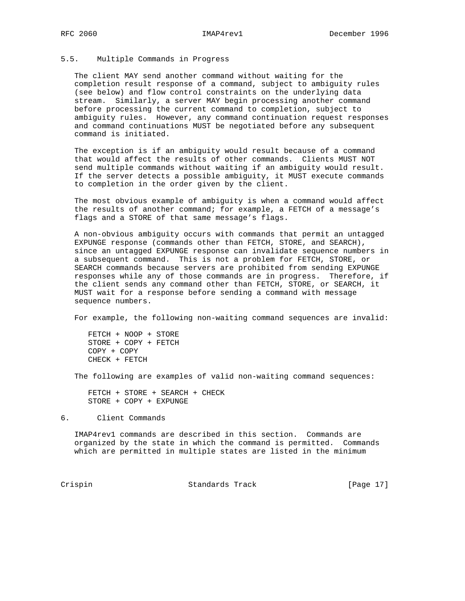# 5.5. Multiple Commands in Progress

 The client MAY send another command without waiting for the completion result response of a command, subject to ambiguity rules (see below) and flow control constraints on the underlying data stream. Similarly, a server MAY begin processing another command before processing the current command to completion, subject to ambiguity rules. However, any command continuation request responses and command continuations MUST be negotiated before any subsequent command is initiated.

 The exception is if an ambiguity would result because of a command that would affect the results of other commands. Clients MUST NOT send multiple commands without waiting if an ambiguity would result. If the server detects a possible ambiguity, it MUST execute commands to completion in the order given by the client.

 The most obvious example of ambiguity is when a command would affect the results of another command; for example, a FETCH of a message's flags and a STORE of that same message's flags.

 A non-obvious ambiguity occurs with commands that permit an untagged EXPUNGE response (commands other than FETCH, STORE, and SEARCH), since an untagged EXPUNGE response can invalidate sequence numbers in a subsequent command. This is not a problem for FETCH, STORE, or SEARCH commands because servers are prohibited from sending EXPUNGE responses while any of those commands are in progress. Therefore, if the client sends any command other than FETCH, STORE, or SEARCH, it MUST wait for a response before sending a command with message sequence numbers.

For example, the following non-waiting command sequences are invalid:

 FETCH + NOOP + STORE STORE + COPY + FETCH COPY + COPY CHECK + FETCH

The following are examples of valid non-waiting command sequences:

 FETCH + STORE + SEARCH + CHECK STORE + COPY + EXPUNGE

6. Client Commands

 IMAP4rev1 commands are described in this section. Commands are organized by the state in which the command is permitted. Commands which are permitted in multiple states are listed in the minimum

Crispin Crispin Standards Track [Page 17]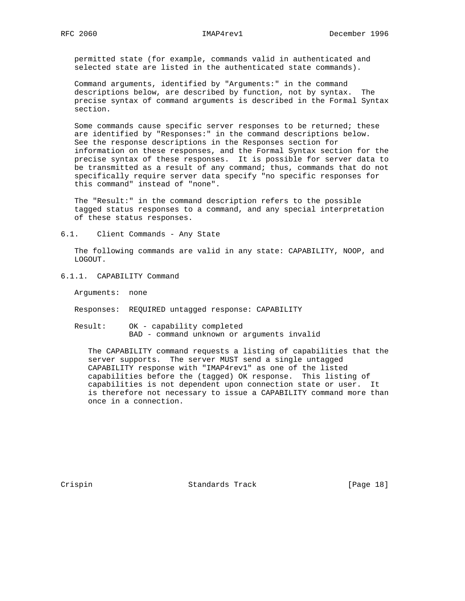permitted state (for example, commands valid in authenticated and selected state are listed in the authenticated state commands).

 Command arguments, identified by "Arguments:" in the command descriptions below, are described by function, not by syntax. The precise syntax of command arguments is described in the Formal Syntax section.

 Some commands cause specific server responses to be returned; these are identified by "Responses:" in the command descriptions below. See the response descriptions in the Responses section for information on these responses, and the Formal Syntax section for the precise syntax of these responses. It is possible for server data to be transmitted as a result of any command; thus, commands that do not specifically require server data specify "no specific responses for this command" instead of "none".

 The "Result:" in the command description refers to the possible tagged status responses to a command, and any special interpretation of these status responses.

6.1. Client Commands - Any State

 The following commands are valid in any state: CAPABILITY, NOOP, and LOGOUT.

6.1.1. CAPABILITY Command

Arguments: none

- Responses: REQUIRED untagged response: CAPABILITY
- Result: OK capability completed BAD - command unknown or arguments invalid

 The CAPABILITY command requests a listing of capabilities that the server supports. The server MUST send a single untagged CAPABILITY response with "IMAP4rev1" as one of the listed capabilities before the (tagged) OK response. This listing of capabilities is not dependent upon connection state or user. It is therefore not necessary to issue a CAPABILITY command more than once in a connection.

Crispin Standards Track [Page 18]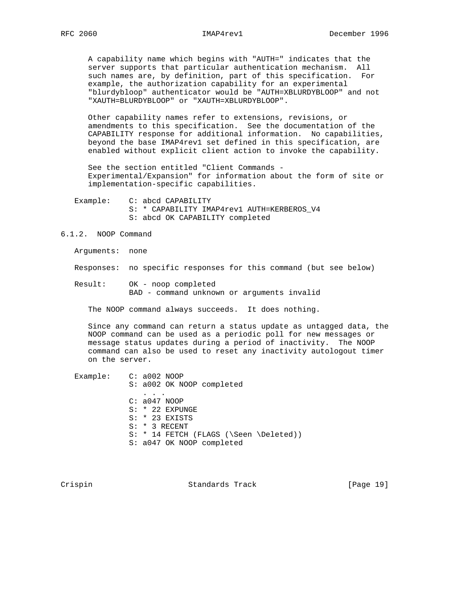A capability name which begins with "AUTH=" indicates that the server supports that particular authentication mechanism. All such names are, by definition, part of this specification. For example, the authorization capability for an experimental "blurdybloop" authenticator would be "AUTH=XBLURDYBLOOP" and not "XAUTH=BLURDYBLOOP" or "XAUTH=XBLURDYBLOOP".

 Other capability names refer to extensions, revisions, or amendments to this specification. See the documentation of the CAPABILITY response for additional information. No capabilities, beyond the base IMAP4rev1 set defined in this specification, are enabled without explicit client action to invoke the capability.

 See the section entitled "Client Commands - Experimental/Expansion" for information about the form of site or implementation-specific capabilities.

 Example: C: abcd CAPABILITY S: \* CAPABILITY IMAP4rev1 AUTH=KERBEROS\_V4 S: abcd OK CAPABILITY completed

# 6.1.2. NOOP Command

Arguments: none

Responses: no specific responses for this command (but see below)

 Result: OK - noop completed BAD - command unknown or arguments invalid

The NOOP command always succeeds. It does nothing.

 Since any command can return a status update as untagged data, the NOOP command can be used as a periodic poll for new messages or message status updates during a period of inactivity. The NOOP command can also be used to reset any inactivity autologout timer on the server.

 Example: C: a002 NOOP S: a002 OK NOOP completed . . . C: a047 NOOP S: \* 22 EXPUNGE S: \* 23 EXISTS S: \* 3 RECENT S: \* 14 FETCH (FLAGS (\Seen \Deleted)) S: a047 OK NOOP completed

Crispin Crispin Standards Track [Page 19]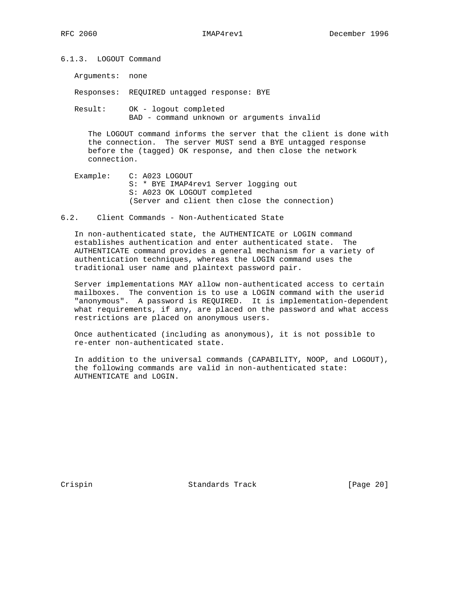6.1.3. LOGOUT Command

Arguments: none

Responses: REQUIRED untagged response: BYE

 Result: OK - logout completed BAD - command unknown or arguments invalid

 The LOGOUT command informs the server that the client is done with the connection. The server MUST send a BYE untagged response before the (tagged) OK response, and then close the network connection.

- Example: C: A023 LOGOUT S: \* BYE IMAP4rev1 Server logging out S: A023 OK LOGOUT completed (Server and client then close the connection)
- 6.2. Client Commands Non-Authenticated State

 In non-authenticated state, the AUTHENTICATE or LOGIN command establishes authentication and enter authenticated state. The AUTHENTICATE command provides a general mechanism for a variety of authentication techniques, whereas the LOGIN command uses the traditional user name and plaintext password pair.

 Server implementations MAY allow non-authenticated access to certain mailboxes. The convention is to use a LOGIN command with the userid "anonymous". A password is REQUIRED. It is implementation-dependent what requirements, if any, are placed on the password and what access restrictions are placed on anonymous users.

 Once authenticated (including as anonymous), it is not possible to re-enter non-authenticated state.

 In addition to the universal commands (CAPABILITY, NOOP, and LOGOUT), the following commands are valid in non-authenticated state: AUTHENTICATE and LOGIN.

Crispin Crispin Standards Track [Page 20]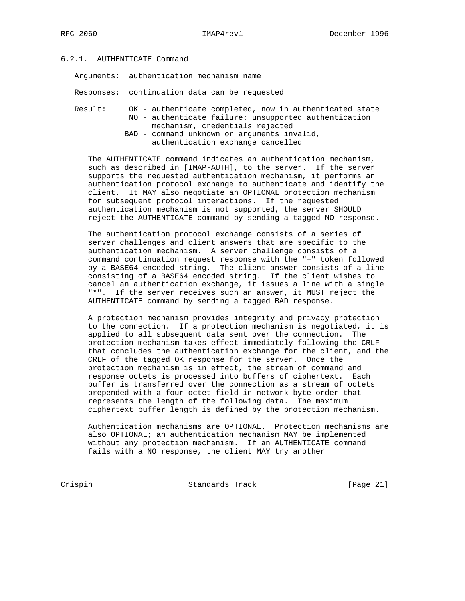# 6.2.1. AUTHENTICATE Command

Arguments: authentication mechanism name

Responses: continuation data can be requested

- Result: OK authenticate completed, now in authenticated state NO - authenticate failure: unsupported authentication mechanism, credentials rejected
	- BAD command unknown or arguments invalid, authentication exchange cancelled

 The AUTHENTICATE command indicates an authentication mechanism, such as described in [IMAP-AUTH], to the server. If the server supports the requested authentication mechanism, it performs an authentication protocol exchange to authenticate and identify the client. It MAY also negotiate an OPTIONAL protection mechanism for subsequent protocol interactions. If the requested authentication mechanism is not supported, the server SHOULD reject the AUTHENTICATE command by sending a tagged NO response.

 The authentication protocol exchange consists of a series of server challenges and client answers that are specific to the authentication mechanism. A server challenge consists of a command continuation request response with the "+" token followed by a BASE64 encoded string. The client answer consists of a line consisting of a BASE64 encoded string. If the client wishes to cancel an authentication exchange, it issues a line with a single "\*". If the server receives such an answer, it MUST reject the AUTHENTICATE command by sending a tagged BAD response.

 A protection mechanism provides integrity and privacy protection to the connection. If a protection mechanism is negotiated, it is applied to all subsequent data sent over the connection. The protection mechanism takes effect immediately following the CRLF that concludes the authentication exchange for the client, and the CRLF of the tagged OK response for the server. Once the protection mechanism is in effect, the stream of command and response octets is processed into buffers of ciphertext. Each buffer is transferred over the connection as a stream of octets prepended with a four octet field in network byte order that represents the length of the following data. The maximum ciphertext buffer length is defined by the protection mechanism.

 Authentication mechanisms are OPTIONAL. Protection mechanisms are also OPTIONAL; an authentication mechanism MAY be implemented without any protection mechanism. If an AUTHENTICATE command fails with a NO response, the client MAY try another

Crispin Crispin Standards Track [Page 21]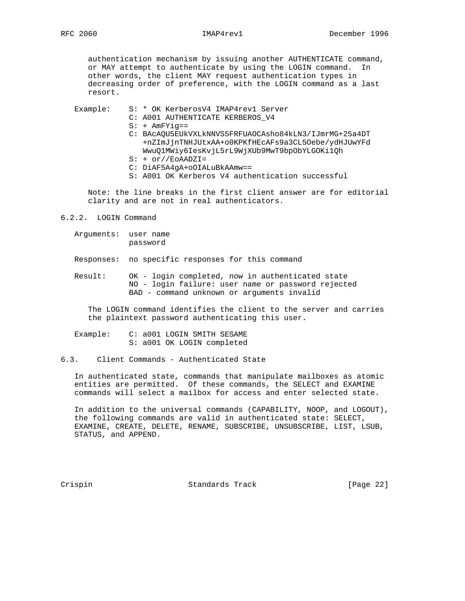authentication mechanism by issuing another AUTHENTICATE command, or MAY attempt to authenticate by using the LOGIN command. In other words, the client MAY request authentication types in decreasing order of preference, with the LOGIN command as a last resort.

Example: S: \* OK KerberosV4 IMAP4rev1 Server

- C: A001 AUTHENTICATE KERBEROS\_V4
- S: + AmFYig==
- C: BAcAQU5EUkVXLkNNVS5FRFUAOCAsho84kLN3/IJmrMG+25a4DT +nZImJjnTNHJUtxAA+o0KPKfHEcAFs9a3CL5Oebe/ydHJUwYFd WwuQ1MWiy6IesKvjL5rL9WjXUb9MwT9bpObYLGOKi1Qh
- S: + or//EoAADZI=
- C: DiAF5A4gA+oOIALuBkAAmw==
- S: A001 OK Kerberos V4 authentication successful

 Note: the line breaks in the first client answer are for editorial clarity and are not in real authenticators.

6.2.2. LOGIN Command

 Arguments: user name password

Responses: no specific responses for this command

 Result: OK - login completed, now in authenticated state NO - login failure: user name or password rejected BAD - command unknown or arguments invalid

 The LOGIN command identifies the client to the server and carries the plaintext password authenticating this user.

 Example: C: a001 LOGIN SMITH SESAME S: a001 OK LOGIN completed

6.3. Client Commands - Authenticated State

 In authenticated state, commands that manipulate mailboxes as atomic entities are permitted. Of these commands, the SELECT and EXAMINE commands will select a mailbox for access and enter selected state.

 In addition to the universal commands (CAPABILITY, NOOP, and LOGOUT), the following commands are valid in authenticated state: SELECT, EXAMINE, CREATE, DELETE, RENAME, SUBSCRIBE, UNSUBSCRIBE, LIST, LSUB, STATUS, and APPEND.

Crispin Standards Track [Page 22]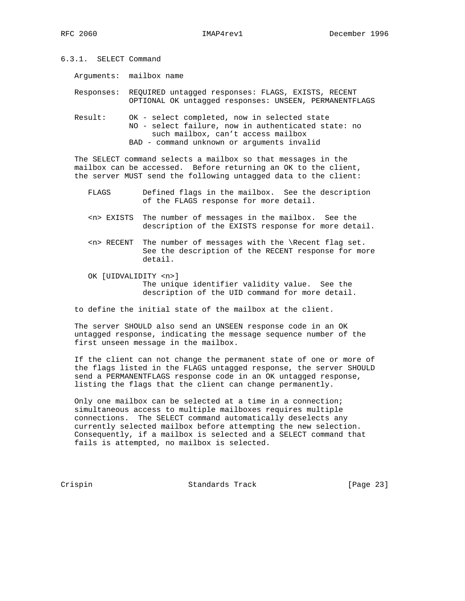6.3.1. SELECT Command

Arguments: mailbox name

 Responses: REQUIRED untagged responses: FLAGS, EXISTS, RECENT OPTIONAL OK untagged responses: UNSEEN, PERMANENTFLAGS

 Result: OK - select completed, now in selected state NO - select failure, now in authenticated state: no such mailbox, can't access mailbox BAD - command unknown or arguments invalid

 The SELECT command selects a mailbox so that messages in the mailbox can be accessed. Before returning an OK to the client, the server MUST send the following untagged data to the client:

- FLAGS Defined flags in the mailbox. See the description of the FLAGS response for more detail.
- <n> EXISTS The number of messages in the mailbox. See the description of the EXISTS response for more detail.
- <n> RECENT The number of messages with the \Recent flag set. See the description of the RECENT response for more detail.
- OK [UIDVALIDITY <n>] The unique identifier validity value. See the description of the UID command for more detail.

to define the initial state of the mailbox at the client.

 The server SHOULD also send an UNSEEN response code in an OK untagged response, indicating the message sequence number of the first unseen message in the mailbox.

 If the client can not change the permanent state of one or more of the flags listed in the FLAGS untagged response, the server SHOULD send a PERMANENTFLAGS response code in an OK untagged response, listing the flags that the client can change permanently.

 Only one mailbox can be selected at a time in a connection; simultaneous access to multiple mailboxes requires multiple connections. The SELECT command automatically deselects any currently selected mailbox before attempting the new selection. Consequently, if a mailbox is selected and a SELECT command that fails is attempted, no mailbox is selected.

Crispin Crispin Standards Track [Page 23]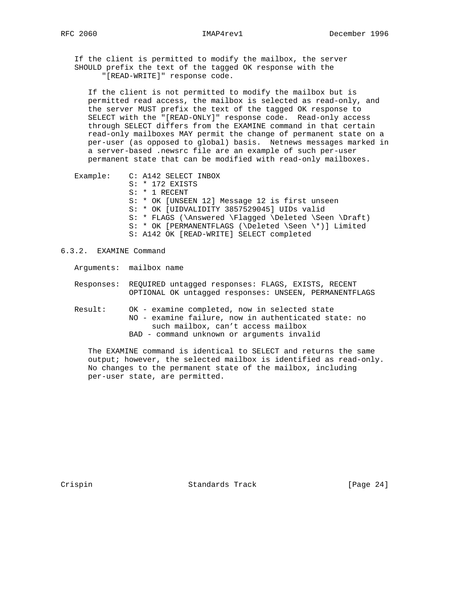If the client is permitted to modify the mailbox, the server SHOULD prefix the text of the tagged OK response with the "[READ-WRITE]" response code.

 If the client is not permitted to modify the mailbox but is permitted read access, the mailbox is selected as read-only, and the server MUST prefix the text of the tagged OK response to SELECT with the "[READ-ONLY]" response code. Read-only access through SELECT differs from the EXAMINE command in that certain read-only mailboxes MAY permit the change of permanent state on a per-user (as opposed to global) basis. Netnews messages marked in a server-based .newsrc file are an example of such per-user permanent state that can be modified with read-only mailboxes.

 Example: C: A142 SELECT INBOX S: \* 172 EXISTS S: \* 1 RECENT S: \* OK [UNSEEN 12] Message 12 is first unseen S: \* OK [UIDVALIDITY 3857529045] UIDs valid S: \* FLAGS (\Answered \Flagged \Deleted \Seen \Draft) S: \* OK [PERMANENTFLAGS (\Deleted \Seen \\*)] Limited S: A142 OK [READ-WRITE] SELECT completed

6.3.2. EXAMINE Command

Arguments: mailbox name

- Responses: REQUIRED untagged responses: FLAGS, EXISTS, RECENT OPTIONAL OK untagged responses: UNSEEN, PERMANENTFLAGS
- Result: OK examine completed, now in selected state NO - examine failure, now in authenticated state: no such mailbox, can't access mailbox BAD - command unknown or arguments invalid

 The EXAMINE command is identical to SELECT and returns the same output; however, the selected mailbox is identified as read-only. No changes to the permanent state of the mailbox, including per-user state, are permitted.

Crispin Standards Track [Page 24]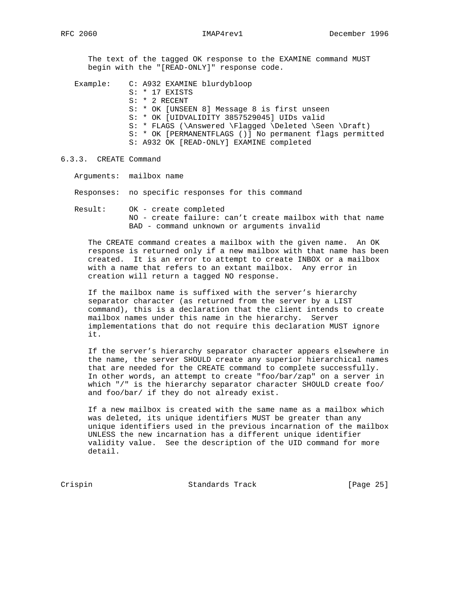The text of the tagged OK response to the EXAMINE command MUST begin with the "[READ-ONLY]" response code.

 Example: C: A932 EXAMINE blurdybloop S: \* 17 EXISTS S: \* 2 RECENT S: \* OK [UNSEEN 8] Message 8 is first unseen S: \* OK [UIDVALIDITY 3857529045] UIDs valid S: \* FLAGS (\Answered \Flagged \Deleted \Seen \Draft) S: \* OK [PERMANENTFLAGS ()] No permanent flags permitted S: A932 OK [READ-ONLY] EXAMINE completed

6.3.3. CREATE Command

Arguments: mailbox name

Responses: no specific responses for this command

 Result: OK - create completed NO - create failure: can't create mailbox with that name BAD - command unknown or arguments invalid

 The CREATE command creates a mailbox with the given name. An OK response is returned only if a new mailbox with that name has been created. It is an error to attempt to create INBOX or a mailbox with a name that refers to an extant mailbox. Any error in creation will return a tagged NO response.

 If the mailbox name is suffixed with the server's hierarchy separator character (as returned from the server by a LIST command), this is a declaration that the client intends to create mailbox names under this name in the hierarchy. Server implementations that do not require this declaration MUST ignore it.

 If the server's hierarchy separator character appears elsewhere in the name, the server SHOULD create any superior hierarchical names that are needed for the CREATE command to complete successfully. In other words, an attempt to create "foo/bar/zap" on a server in which "/" is the hierarchy separator character SHOULD create foo/ and foo/bar/ if they do not already exist.

 If a new mailbox is created with the same name as a mailbox which was deleted, its unique identifiers MUST be greater than any unique identifiers used in the previous incarnation of the mailbox UNLESS the new incarnation has a different unique identifier validity value. See the description of the UID command for more detail.

Crispin Crispin Standards Track [Page 25]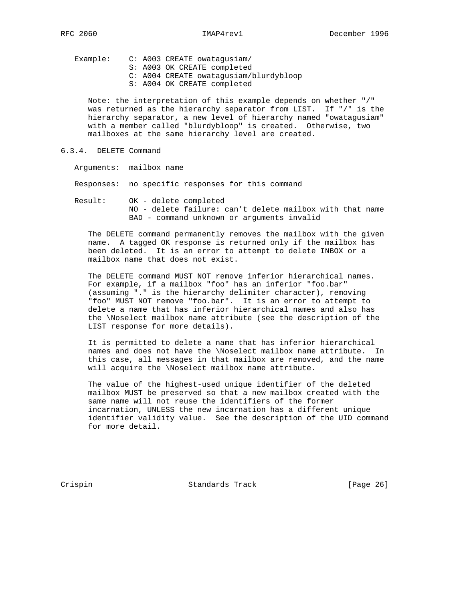Example: C: A003 CREATE owatagusiam/ S: A003 OK CREATE completed C: A004 CREATE owatagusiam/blurdybloop S: A004 OK CREATE completed

 Note: the interpretation of this example depends on whether "/" was returned as the hierarchy separator from LIST. If "/" is the hierarchy separator, a new level of hierarchy named "owatagusiam" with a member called "blurdybloop" is created. Otherwise, two mailboxes at the same hierarchy level are created.

6.3.4. DELETE Command

Arguments: mailbox name

Responses: no specific responses for this command

 Result: OK - delete completed NO - delete failure: can't delete mailbox with that name BAD - command unknown or arguments invalid

 The DELETE command permanently removes the mailbox with the given name. A tagged OK response is returned only if the mailbox has been deleted. It is an error to attempt to delete INBOX or a mailbox name that does not exist.

 The DELETE command MUST NOT remove inferior hierarchical names. For example, if a mailbox "foo" has an inferior "foo.bar" (assuming "." is the hierarchy delimiter character), removing "foo" MUST NOT remove "foo.bar". It is an error to attempt to delete a name that has inferior hierarchical names and also has the \Noselect mailbox name attribute (see the description of the LIST response for more details).

 It is permitted to delete a name that has inferior hierarchical names and does not have the \Noselect mailbox name attribute. In this case, all messages in that mailbox are removed, and the name will acquire the \Noselect mailbox name attribute.

 The value of the highest-used unique identifier of the deleted mailbox MUST be preserved so that a new mailbox created with the same name will not reuse the identifiers of the former incarnation, UNLESS the new incarnation has a different unique identifier validity value. See the description of the UID command for more detail.

Crispin Crispin Standards Track [Page 26]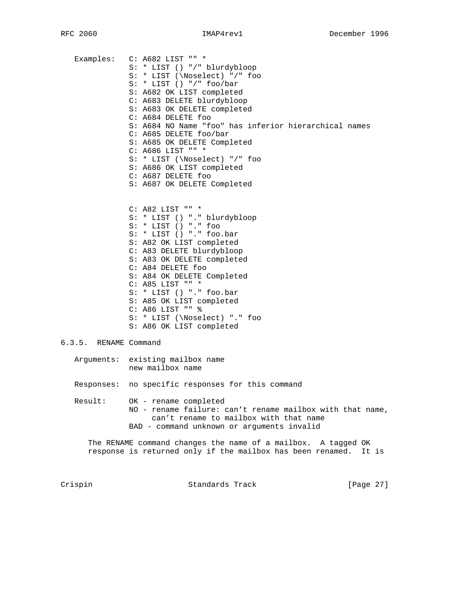Examples: C: A682 LIST "" \* S: \* LIST () "/" blurdybloop S: \* LIST (\Noselect) "/" foo S: \* LIST () "/" foo/bar S: A682 OK LIST completed C: A683 DELETE blurdybloop S: A683 OK DELETE completed C: A684 DELETE foo S: A684 NO Name "foo" has inferior hierarchical names C: A685 DELETE foo/bar S: A685 OK DELETE Completed C: A686 LIST "" \* S: \* LIST (\Noselect) "/" foo S: A686 OK LIST completed C: A687 DELETE foo S: A687 OK DELETE Completed C: A82 LIST "" \* S: \* LIST () "." blurdybloop S: \* LIST () "." foo S: \* LIST () "." foo.bar S: A82 OK LIST completed C: A83 DELETE blurdybloop S: A83 OK DELETE completed C: A84 DELETE foo S: A84 OK DELETE Completed C: A85 LIST "" \* S: \* LIST () "." foo.bar S: A85 OK LIST completed C: A86 LIST "" % S: \* LIST (\Noselect) "." foo S: A86 OK LIST completed 6.3.5. RENAME Command Arguments: existing mailbox name new mailbox name Responses: no specific responses for this command Result: OK - rename completed NO - rename failure: can't rename mailbox with that name, can't rename to mailbox with that name BAD - command unknown or arguments invalid The RENAME command changes the name of a mailbox. A tagged OK response is returned only if the mailbox has been renamed. It is Crispin Standards Track [Page 27]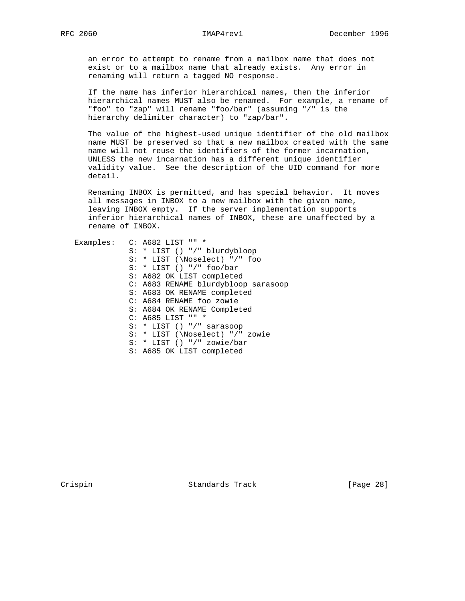an error to attempt to rename from a mailbox name that does not exist or to a mailbox name that already exists. Any error in renaming will return a tagged NO response.

 If the name has inferior hierarchical names, then the inferior hierarchical names MUST also be renamed. For example, a rename of "foo" to "zap" will rename "foo/bar" (assuming "/" is the hierarchy delimiter character) to "zap/bar".

 The value of the highest-used unique identifier of the old mailbox name MUST be preserved so that a new mailbox created with the same name will not reuse the identifiers of the former incarnation, UNLESS the new incarnation has a different unique identifier validity value. See the description of the UID command for more detail.

 Renaming INBOX is permitted, and has special behavior. It moves all messages in INBOX to a new mailbox with the given name, leaving INBOX empty. If the server implementation supports inferior hierarchical names of INBOX, these are unaffected by a rename of INBOX.

| Examples: C: A682 LIST "" *         |
|-------------------------------------|
| S: * LIST () "/" blurdybloop        |
| $S: * LIST (\Noselect) */$ foo      |
| $S: * LIST() "/* foo/bar$           |
| S: A682 OK LIST completed           |
| C: A683 RENAME blurdybloop sarasoop |
| S: A683 OK RENAME completed         |
| C: A684 RENAME foo zowie            |
| S: A684 OK RENAME Completed         |
| C: A685 LIST "" *                   |
| $S: * LIST() "/* sarasoop$          |
| S: * LIST (\Noselect) "/" zowie     |
| $S: * LIST() "/* zowie/bar$         |
| S: A685 OK LIST completed           |
|                                     |

Crispin Standards Track [Page 28]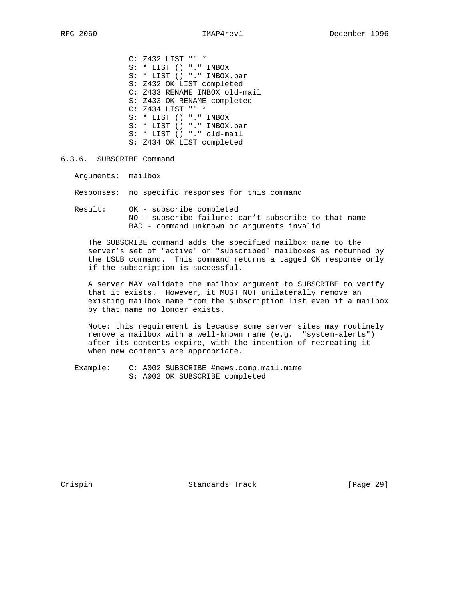C: Z432 LIST "" \* S: \* LIST () "." INBOX S: \* LIST () "." INBOX.bar S: Z432 OK LIST completed C: Z433 RENAME INBOX old-mail S: Z433 OK RENAME completed C: Z434 LIST "" \* S: \* LIST () "." INBOX S: \* LIST () "." INBOX.bar S: \* LIST () "." old-mail S: Z434 OK LIST completed

6.3.6. SUBSCRIBE Command

Arguments: mailbox

Responses: no specific responses for this command

 Result: OK - subscribe completed NO - subscribe failure: can't subscribe to that name BAD - command unknown or arguments invalid

 The SUBSCRIBE command adds the specified mailbox name to the server's set of "active" or "subscribed" mailboxes as returned by the LSUB command. This command returns a tagged OK response only if the subscription is successful.

 A server MAY validate the mailbox argument to SUBSCRIBE to verify that it exists. However, it MUST NOT unilaterally remove an existing mailbox name from the subscription list even if a mailbox by that name no longer exists.

 Note: this requirement is because some server sites may routinely remove a mailbox with a well-known name (e.g. "system-alerts") after its contents expire, with the intention of recreating it when new contents are appropriate.

 Example: C: A002 SUBSCRIBE #news.comp.mail.mime S: A002 OK SUBSCRIBE completed

Crispin Crispin Standards Track [Page 29]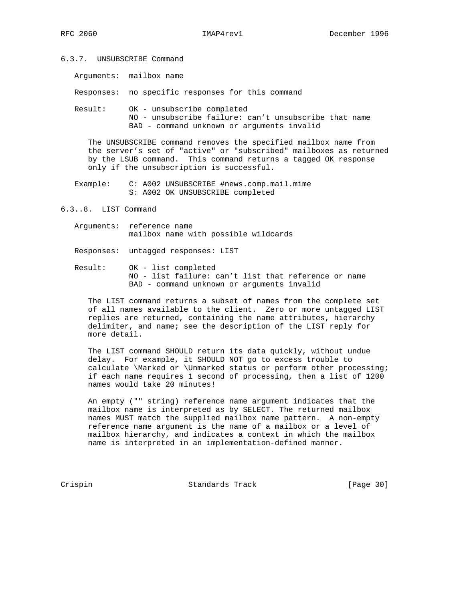- 6.3.7. UNSUBSCRIBE Command
	- Arguments: mailbox name

Responses: no specific responses for this command

 Result: OK - unsubscribe completed NO - unsubscribe failure: can't unsubscribe that name BAD - command unknown or arguments invalid

 The UNSUBSCRIBE command removes the specified mailbox name from the server's set of "active" or "subscribed" mailboxes as returned by the LSUB command. This command returns a tagged OK response only if the unsubscription is successful.

 Example: C: A002 UNSUBSCRIBE #news.comp.mail.mime S: A002 OK UNSUBSCRIBE completed

6.3..8. LIST Command

 Arguments: reference name mailbox name with possible wildcards

Responses: untagged responses: LIST

 Result: OK - list completed NO - list failure: can't list that reference or name BAD - command unknown or arguments invalid

 The LIST command returns a subset of names from the complete set of all names available to the client. Zero or more untagged LIST replies are returned, containing the name attributes, hierarchy delimiter, and name; see the description of the LIST reply for more detail.

 The LIST command SHOULD return its data quickly, without undue delay. For example, it SHOULD NOT go to excess trouble to calculate \Marked or \Unmarked status or perform other processing; if each name requires 1 second of processing, then a list of 1200 names would take 20 minutes!

 An empty ("" string) reference name argument indicates that the mailbox name is interpreted as by SELECT. The returned mailbox names MUST match the supplied mailbox name pattern. A non-empty reference name argument is the name of a mailbox or a level of mailbox hierarchy, and indicates a context in which the mailbox name is interpreted in an implementation-defined manner.

Crispin Crispin Standards Track [Page 30]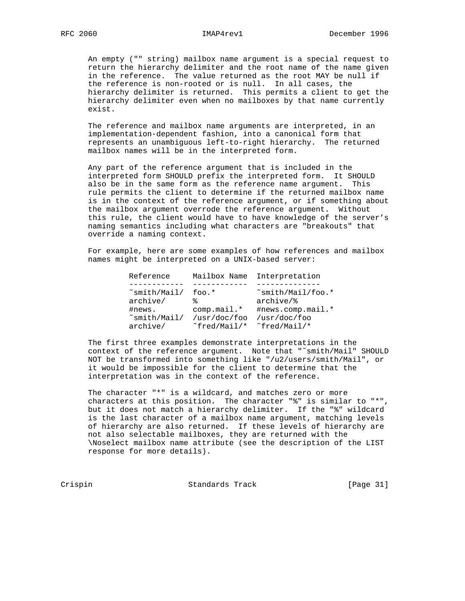An empty ("" string) mailbox name argument is a special request to return the hierarchy delimiter and the root name of the name given in the reference. The value returned as the root MAY be null if the reference is non-rooted or is null. In all cases, the hierarchy delimiter is returned. This permits a client to get the hierarchy delimiter even when no mailboxes by that name currently exist.

 The reference and mailbox name arguments are interpreted, in an implementation-dependent fashion, into a canonical form that represents an unambiguous left-to-right hierarchy. The returned mailbox names will be in the interpreted form.

 Any part of the reference argument that is included in the interpreted form SHOULD prefix the interpreted form. It SHOULD also be in the same form as the reference name argument. This rule permits the client to determine if the returned mailbox name is in the context of the reference argument, or if something about the mailbox argument overrode the reference argument. Without this rule, the client would have to have knowledge of the server's naming semantics including what characters are "breakouts" that override a naming context.

 For example, here are some examples of how references and mailbox names might be interpreted on a UNIX-based server:

| Reference                             |                               | Mailbox Name Interpretation                           |
|---------------------------------------|-------------------------------|-------------------------------------------------------|
|                                       |                               |                                                       |
| $\textdegree$ smith/Mail/<br>archive/ | foo.*<br>°≈                   | $\text{mith/Mail/foo.*}$<br>$archive$ / $\frac{1}{6}$ |
| #news.<br>$\text{small}/\text{Mail}/$ | $comp.mail.*$<br>/usr/doc/foo | #news.comp.mail. $*$<br>/usr/doc/foo                  |
| archive/                              | "fred/Mail/*                  | "fred/Mail/*                                          |

 The first three examples demonstrate interpretations in the context of the reference argument. Note that "˜smith/Mail" SHOULD NOT be transformed into something like "/u2/users/smith/Mail", or it would be impossible for the client to determine that the interpretation was in the context of the reference.

 The character "\*" is a wildcard, and matches zero or more characters at this position. The character "%" is similar to "\*", but it does not match a hierarchy delimiter. If the "%" wildcard is the last character of a mailbox name argument, matching levels of hierarchy are also returned. If these levels of hierarchy are not also selectable mailboxes, they are returned with the \Noselect mailbox name attribute (see the description of the LIST response for more details).

Crispin Crispin Standards Track [Page 31]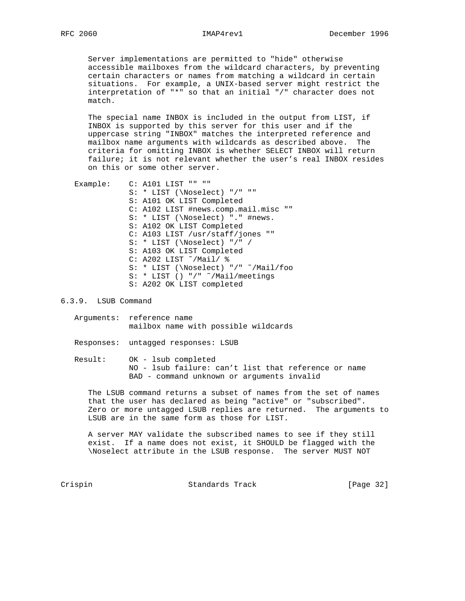Server implementations are permitted to "hide" otherwise accessible mailboxes from the wildcard characters, by preventing certain characters or names from matching a wildcard in certain situations. For example, a UNIX-based server might restrict the interpretation of "\*" so that an initial "/" character does not match.

 The special name INBOX is included in the output from LIST, if INBOX is supported by this server for this user and if the uppercase string "INBOX" matches the interpreted reference and mailbox name arguments with wildcards as described above. The criteria for omitting INBOX is whether SELECT INBOX will return failure; it is not relevant whether the user's real INBOX resides on this or some other server.

Example: C: A101 LIST "" "" S: \* LIST (\Noselect) "/" "" S: A101 OK LIST Completed C: A102 LIST #news.comp.mail.misc "" S: \* LIST (\Noselect) "." #news. S: A102 OK LIST Completed C: A103 LIST /usr/staff/jones "" S: \* LIST (\Noselect) "/" / S: A103 OK LIST Completed C: A202 LIST ˜/Mail/ % S: \* LIST (\Noselect) "/" ˜/Mail/foo S: \* LIST () "/" ˜/Mail/meetings S: A202 OK LIST completed

### 6.3.9. LSUB Command

- Arguments: reference name mailbox name with possible wildcards
- Responses: untagged responses: LSUB

 Result: OK - lsub completed NO - lsub failure: can't list that reference or name BAD - command unknown or arguments invalid

 The LSUB command returns a subset of names from the set of names that the user has declared as being "active" or "subscribed". Zero or more untagged LSUB replies are returned. The arguments to LSUB are in the same form as those for LIST.

 A server MAY validate the subscribed names to see if they still exist. If a name does not exist, it SHOULD be flagged with the \Noselect attribute in the LSUB response. The server MUST NOT

Crispin Standards Track [Page 32]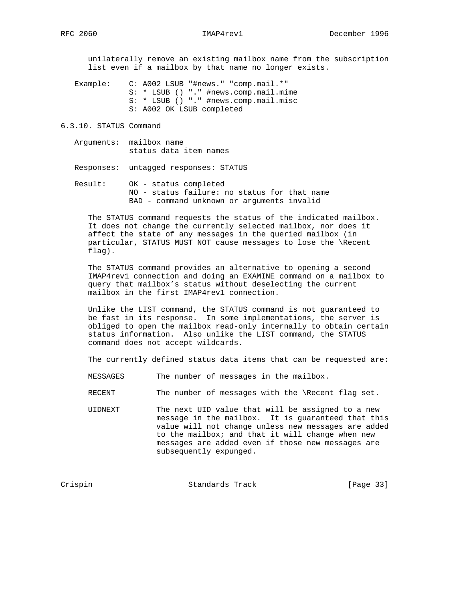unilaterally remove an existing mailbox name from the subscription list even if a mailbox by that name no longer exists.

 Example: C: A002 LSUB "#news." "comp.mail.\*" S: \* LSUB () "." #news.comp.mail.mime S: \* LSUB () "." #news.comp.mail.misc S: A002 OK LSUB completed

6.3.10. STATUS Command

 Arguments: mailbox name status data item names

Responses: untagged responses: STATUS

 Result: OK - status completed NO - status failure: no status for that name BAD - command unknown or arguments invalid

 The STATUS command requests the status of the indicated mailbox. It does not change the currently selected mailbox, nor does it affect the state of any messages in the queried mailbox (in particular, STATUS MUST NOT cause messages to lose the \Recent flag).

 The STATUS command provides an alternative to opening a second IMAP4rev1 connection and doing an EXAMINE command on a mailbox to query that mailbox's status without deselecting the current mailbox in the first IMAP4rev1 connection.

 Unlike the LIST command, the STATUS command is not guaranteed to be fast in its response. In some implementations, the server is obliged to open the mailbox read-only internally to obtain certain status information. Also unlike the LIST command, the STATUS command does not accept wildcards.

The currently defined status data items that can be requested are:

- MESSAGES The number of messages in the mailbox.
- RECENT The number of messages with the \Recent flag set.
- UIDNEXT The next UID value that will be assigned to a new message in the mailbox. It is guaranteed that this value will not change unless new messages are added to the mailbox; and that it will change when new messages are added even if those new messages are subsequently expunged.

Crispin Crispin Standards Track [Page 33]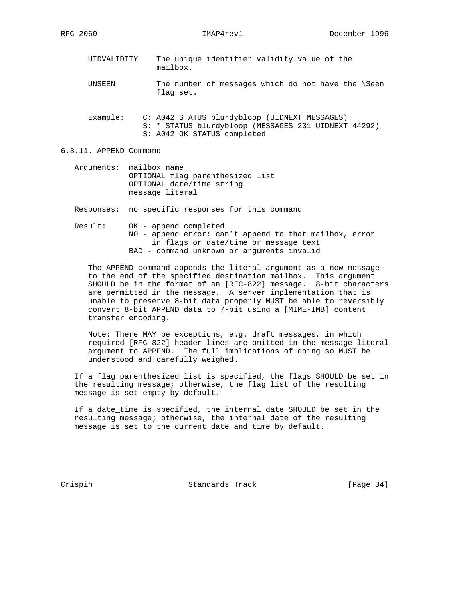- UIDVALIDITY The unique identifier validity value of the mailbox.
- UNSEEN The number of messages which do not have the \Seen flag set.
- Example: C: A042 STATUS blurdybloop (UIDNEXT MESSAGES) S: \* STATUS blurdybloop (MESSAGES 231 UIDNEXT 44292) S: A042 OK STATUS completed

6.3.11. APPEND Command

 Arguments: mailbox name OPTIONAL flag parenthesized list OPTIONAL date/time string message literal

Responses: no specific responses for this command

 Result: OK - append completed NO - append error: can't append to that mailbox, error in flags or date/time or message text BAD - command unknown or arguments invalid

 The APPEND command appends the literal argument as a new message to the end of the specified destination mailbox. This argument SHOULD be in the format of an [RFC-822] message. 8-bit characters are permitted in the message. A server implementation that is unable to preserve 8-bit data properly MUST be able to reversibly convert 8-bit APPEND data to 7-bit using a [MIME-IMB] content transfer encoding.

 Note: There MAY be exceptions, e.g. draft messages, in which required [RFC-822] header lines are omitted in the message literal argument to APPEND. The full implications of doing so MUST be understood and carefully weighed.

 If a flag parenthesized list is specified, the flags SHOULD be set in the resulting message; otherwise, the flag list of the resulting message is set empty by default.

 If a date\_time is specified, the internal date SHOULD be set in the resulting message; otherwise, the internal date of the resulting message is set to the current date and time by default.

Crispin Standards Track [Page 34]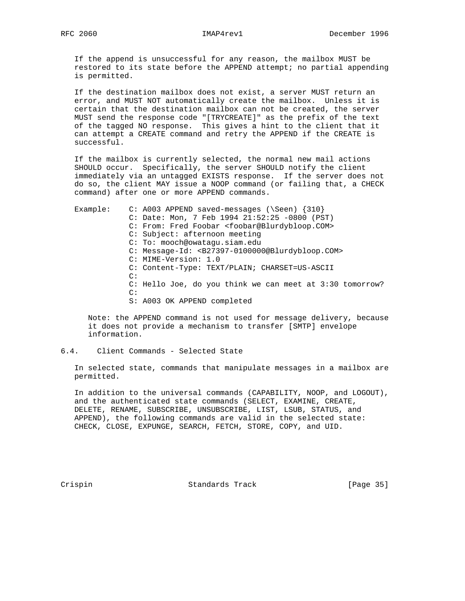If the append is unsuccessful for any reason, the mailbox MUST be restored to its state before the APPEND attempt; no partial appending is permitted.

 If the destination mailbox does not exist, a server MUST return an error, and MUST NOT automatically create the mailbox. Unless it is certain that the destination mailbox can not be created, the server MUST send the response code "[TRYCREATE]" as the prefix of the text of the tagged NO response. This gives a hint to the client that it can attempt a CREATE command and retry the APPEND if the CREATE is successful.

 If the mailbox is currently selected, the normal new mail actions SHOULD occur. Specifically, the server SHOULD notify the client immediately via an untagged EXISTS response. If the server does not do so, the client MAY issue a NOOP command (or failing that, a CHECK command) after one or more APPEND commands.

Example: C: A003 APPEND saved-messages (\Seen) {310} C: Date: Mon, 7 Feb 1994 21:52:25 -0800 (PST) C: From: Fred Foobar <foobar@Blurdybloop.COM> C: Subject: afternoon meeting C: To: mooch@owatagu.siam.edu C: Message-Id: <B27397-0100000@Blurdybloop.COM> C: MIME-Version: 1.0 C: Content-Type: TEXT/PLAIN; CHARSET=US-ASCII C: C: Hello Joe, do you think we can meet at 3:30 tomorrow? C: S: A003 OK APPEND completed

 Note: the APPEND command is not used for message delivery, because it does not provide a mechanism to transfer [SMTP] envelope information.

### 6.4. Client Commands - Selected State

 In selected state, commands that manipulate messages in a mailbox are permitted.

 In addition to the universal commands (CAPABILITY, NOOP, and LOGOUT), and the authenticated state commands (SELECT, EXAMINE, CREATE, DELETE, RENAME, SUBSCRIBE, UNSUBSCRIBE, LIST, LSUB, STATUS, and APPEND), the following commands are valid in the selected state: CHECK, CLOSE, EXPUNGE, SEARCH, FETCH, STORE, COPY, and UID.

Crispin Standards Track [Page 35]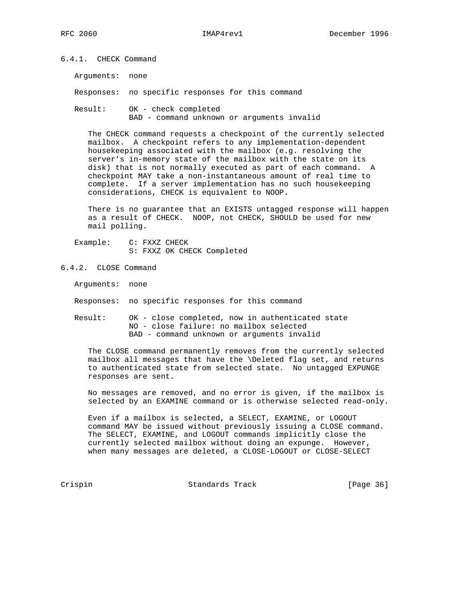6.4.1. CHECK Command

Arguments: none

Responses: no specific responses for this command

 Result: OK - check completed BAD - command unknown or arguments invalid

 The CHECK command requests a checkpoint of the currently selected mailbox. A checkpoint refers to any implementation-dependent housekeeping associated with the mailbox (e.g. resolving the server's in-memory state of the mailbox with the state on its disk) that is not normally executed as part of each command. A checkpoint MAY take a non-instantaneous amount of real time to complete. If a server implementation has no such housekeeping considerations, CHECK is equivalent to NOOP.

 There is no guarantee that an EXISTS untagged response will happen as a result of CHECK. NOOP, not CHECK, SHOULD be used for new mail polling.

 Example: C: FXXZ CHECK S: FXXZ OK CHECK Completed

### 6.4.2. CLOSE Command

Arguments: none

Responses: no specific responses for this command

 Result: OK - close completed, now in authenticated state NO - close failure: no mailbox selected BAD - command unknown or arguments invalid

 The CLOSE command permanently removes from the currently selected mailbox all messages that have the \Deleted flag set, and returns to authenticated state from selected state. No untagged EXPUNGE responses are sent.

 No messages are removed, and no error is given, if the mailbox is selected by an EXAMINE command or is otherwise selected read-only.

 Even if a mailbox is selected, a SELECT, EXAMINE, or LOGOUT command MAY be issued without previously issuing a CLOSE command. The SELECT, EXAMINE, and LOGOUT commands implicitly close the currently selected mailbox without doing an expunge. However, when many messages are deleted, a CLOSE-LOGOUT or CLOSE-SELECT

Crispin Crispin Standards Track [Page 36]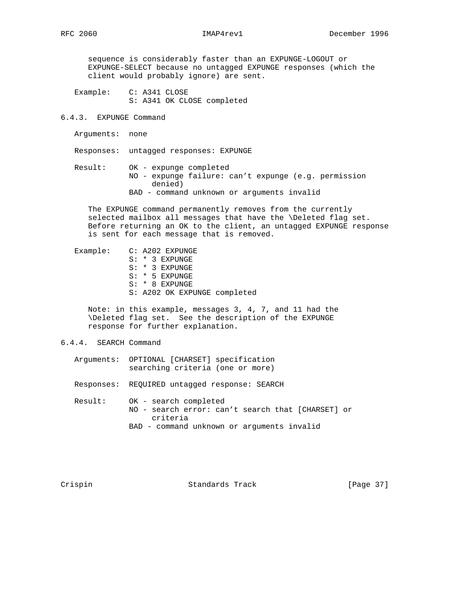sequence is considerably faster than an EXPUNGE-LOGOUT or EXPUNGE-SELECT because no untagged EXPUNGE responses (which the client would probably ignore) are sent.

 Example: C: A341 CLOSE S: A341 OK CLOSE completed

6.4.3. EXPUNGE Command

Arguments: none

Responses: untagged responses: EXPUNGE

 Result: OK - expunge completed NO - expunge failure: can't expunge (e.g. permission denied) BAD - command unknown or arguments invalid

 The EXPUNGE command permanently removes from the currently selected mailbox all messages that have the \Deleted flag set. Before returning an OK to the client, an untagged EXPUNGE response is sent for each message that is removed.

 Example: C: A202 EXPUNGE S: \* 3 EXPUNGE S: \* 3 EXPUNGE S: \* 5 EXPUNGE S: \* 8 EXPUNGE S: A202 OK EXPUNGE completed

 Note: in this example, messages 3, 4, 7, and 11 had the \Deleted flag set. See the description of the EXPUNGE response for further explanation.

6.4.4. SEARCH Command

 Arguments: OPTIONAL [CHARSET] specification searching criteria (one or more)

Responses: REQUIRED untagged response: SEARCH

 Result: OK - search completed NO - search error: can't search that [CHARSET] or criteria BAD - command unknown or arguments invalid

Crispin Standards Track [Page 37]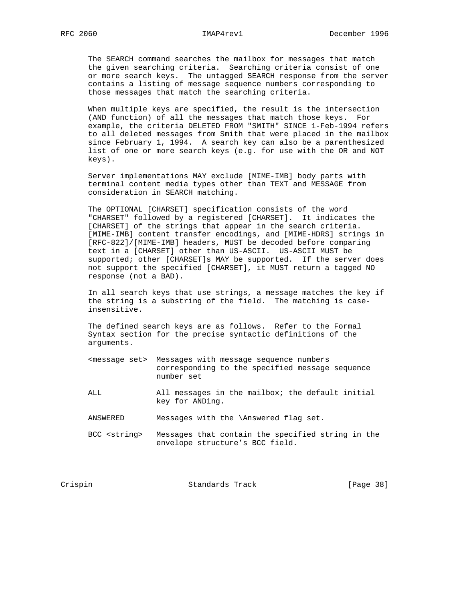The SEARCH command searches the mailbox for messages that match the given searching criteria. Searching criteria consist of one or more search keys. The untagged SEARCH response from the server contains a listing of message sequence numbers corresponding to those messages that match the searching criteria.

 When multiple keys are specified, the result is the intersection (AND function) of all the messages that match those keys. For example, the criteria DELETED FROM "SMITH" SINCE 1-Feb-1994 refers to all deleted messages from Smith that were placed in the mailbox since February 1, 1994. A search key can also be a parenthesized list of one or more search keys (e.g. for use with the OR and NOT keys).

 Server implementations MAY exclude [MIME-IMB] body parts with terminal content media types other than TEXT and MESSAGE from consideration in SEARCH matching.

 The OPTIONAL [CHARSET] specification consists of the word "CHARSET" followed by a registered [CHARSET]. It indicates the [CHARSET] of the strings that appear in the search criteria. [MIME-IMB] content transfer encodings, and [MIME-HDRS] strings in [RFC-822]/[MIME-IMB] headers, MUST be decoded before comparing text in a [CHARSET] other than US-ASCII. US-ASCII MUST be supported; other [CHARSET]s MAY be supported. If the server does not support the specified [CHARSET], it MUST return a tagged NO response (not a BAD).

 In all search keys that use strings, a message matches the key if the string is a substring of the field. The matching is case insensitive.

 The defined search keys are as follows. Refer to the Formal Syntax section for the precise syntactic definitions of the arguments.

- <message set> Messages with message sequence numbers corresponding to the specified message sequence number set
- ALL All messages in the mailbox; the default initial key for ANDing.
- ANSWERED Messages with the \Answered flag set.
- BCC <string> Messages that contain the specified string in the envelope structure's BCC field.

Crispin Standards Track [Page 38]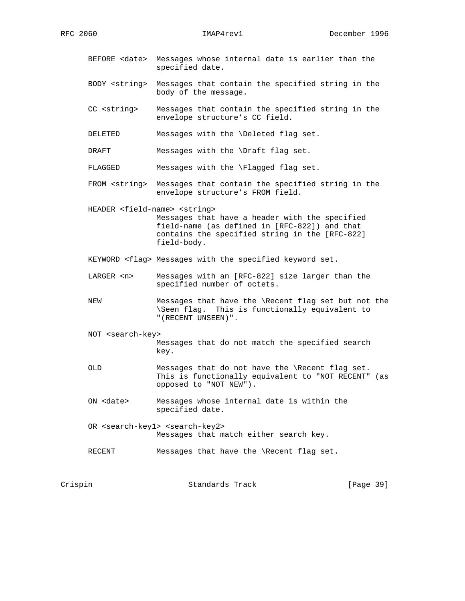- BEFORE <date> Messages whose internal date is earlier than the specified date.
- BODY <string> Messages that contain the specified string in the body of the message.
- CC <string> Messages that contain the specified string in the envelope structure's CC field.
- DELETED Messages with the \Deleted flag set.
- DRAFT Messages with the \Draft flag set.

FLAGGED Messages with the \Flagged flag set.

- FROM <string> Messages that contain the specified string in the envelope structure's FROM field.
- HEADER <field-name> <string> Messages that have a header with the specified field-name (as defined in [RFC-822]) and that contains the specified string in the [RFC-822] field-body.
- KEYWORD <flag> Messages with the specified keyword set.
- LARGER <n> Messages with an [RFC-822] size larger than the specified number of octets.
- NEW Messages that have the \Recent flag set but not the \Seen flag. This is functionally equivalent to "(RECENT UNSEEN)".
- NOT <search-key> Messages that do not match the specified search key.
- OLD Messages that do not have the \Recent flag set. This is functionally equivalent to "NOT RECENT" (as opposed to "NOT NEW").
- ON <date> Messages whose internal date is within the specified date.
- OR <search-key1> <search-key2> Messages that match either search key.
- RECENT Messages that have the \Recent flag set.

| Crispin | Standards Track | [Page 39] |  |
|---------|-----------------|-----------|--|
|---------|-----------------|-----------|--|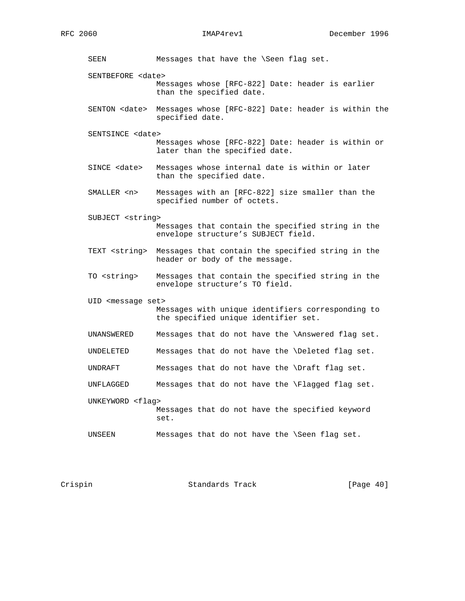SEEN Messages that have the \Seen flag set. SENTBEFORE <date> Messages whose [RFC-822] Date: header is earlier than the specified date. SENTON <date> Messages whose [RFC-822] Date: header is within the specified date. SENTSINCE <date> Messages whose [RFC-822] Date: header is within or later than the specified date. SINCE <date> Messages whose internal date is within or later than the specified date. SMALLER <n> Messages with an [RFC-822] size smaller than the specified number of octets. SUBJECT <string> Messages that contain the specified string in the envelope structure's SUBJECT field. TEXT <string> Messages that contain the specified string in the header or body of the message. TO <string> Messages that contain the specified string in the envelope structure's TO field. UID <message set> Messages with unique identifiers corresponding to the specified unique identifier set. UNANSWERED Messages that do not have the \Answered flag set. UNDELETED Messages that do not have the \Deleted flag set. UNDRAFT Messages that do not have the \Draft flag set. UNFLAGGED Messages that do not have the \Flagged flag set. UNKEYWORD <flag> Messages that do not have the specified keyword set. UNSEEN Messages that do not have the \Seen flag set.

Crispin Standards Track [Page 40]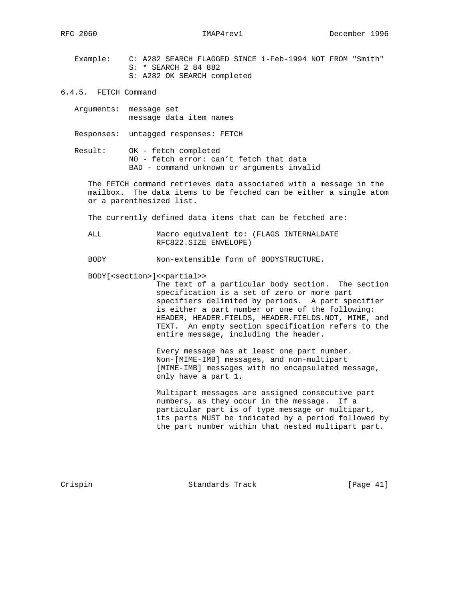Example: C: A282 SEARCH FLAGGED SINCE 1-Feb-1994 NOT FROM "Smith" S: \* SEARCH 2 84 882 S: A282 OK SEARCH completed

- 6.4.5. FETCH Command
	- Arguments: message set message data item names

Responses: untagged responses: FETCH

 Result: OK - fetch completed NO - fetch error: can't fetch that data BAD - command unknown or arguments invalid

 The FETCH command retrieves data associated with a message in the mailbox. The data items to be fetched can be either a single atom or a parenthesized list.

The currently defined data items that can be fetched are:

 ALL Macro equivalent to: (FLAGS INTERNALDATE RFC822.SIZE ENVELOPE)

BODY Non-extensible form of BODYSTRUCTURE.

BODY[<section>]<<partial>>

 The text of a particular body section. The section specification is a set of zero or more part specifiers delimited by periods. A part specifier is either a part number or one of the following: HEADER, HEADER.FIELDS, HEADER.FIELDS.NOT, MIME, and TEXT. An empty section specification refers to the entire message, including the header.

 Every message has at least one part number. Non-[MIME-IMB] messages, and non-multipart [MIME-IMB] messages with no encapsulated message, only have a part 1.

 Multipart messages are assigned consecutive part numbers, as they occur in the message. If a particular part is of type message or multipart, its parts MUST be indicated by a period followed by the part number within that nested multipart part.

Crispin Standards Track [Page 41]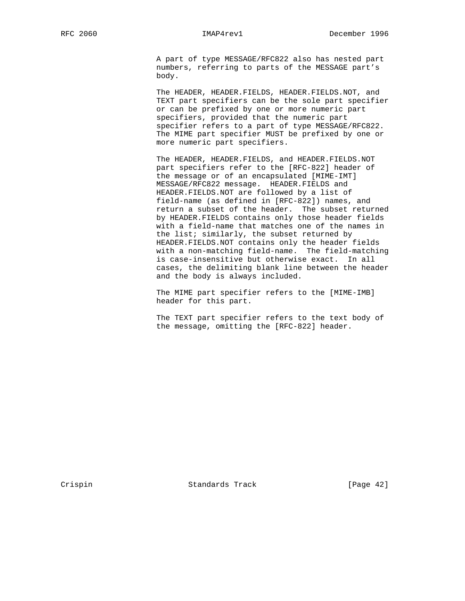A part of type MESSAGE/RFC822 also has nested part numbers, referring to parts of the MESSAGE part's body.

 The HEADER, HEADER.FIELDS, HEADER.FIELDS.NOT, and TEXT part specifiers can be the sole part specifier or can be prefixed by one or more numeric part specifiers, provided that the numeric part specifier refers to a part of type MESSAGE/RFC822. The MIME part specifier MUST be prefixed by one or more numeric part specifiers.

 The HEADER, HEADER.FIELDS, and HEADER.FIELDS.NOT part specifiers refer to the [RFC-822] header of the message or of an encapsulated [MIME-IMT] MESSAGE/RFC822 message. HEADER.FIELDS and HEADER.FIELDS.NOT are followed by a list of field-name (as defined in [RFC-822]) names, and return a subset of the header. The subset returned by HEADER.FIELDS contains only those header fields with a field-name that matches one of the names in the list; similarly, the subset returned by HEADER.FIELDS.NOT contains only the header fields with a non-matching field-name. The field-matching is case-insensitive but otherwise exact. In all cases, the delimiting blank line between the header and the body is always included.

 The MIME part specifier refers to the [MIME-IMB] header for this part.

 The TEXT part specifier refers to the text body of the message, omitting the [RFC-822] header.

Crispin Standards Track [Page 42]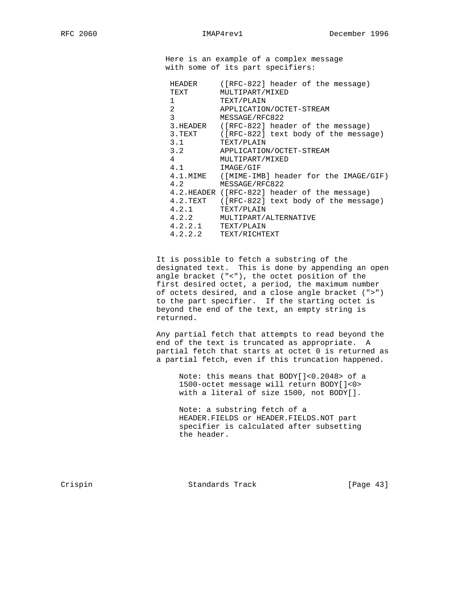Here is an example of a complex message with some of its part specifiers:

| HEADER         | ([RFC-822] header of the message)            |
|----------------|----------------------------------------------|
| TEXT           | MULTIPART/MIXED                              |
|                | TEXT/PLAIN                                   |
| $\overline{2}$ | APPLICATION/OCTET-STREAM                     |
| 3              | MESSAGE/RFC822                               |
| 3.HEADER       | ([RFC-822] header of the message)            |
| 3.TEXT         | $([RFC-822]$ text body of the message)       |
| 3.1            | TEXT/PLAIN                                   |
| 3.2            | APPLICATION/OCTET-STREAM                     |
| $4\degree$     | MULTIPART/MIXED                              |
| 4.1            | IMAGE/GIF                                    |
| $4.1$ . $MIME$ | ([MIME-IMB] header for the IMAGE/GIF)        |
| 4.2            | MESSAGE/RFC822                               |
|                | 4.2.HEADER ([RFC-822] header of the message) |
| $4.2$ .TEXT    | ([RFC-822] text body of the message)         |
| 4.2.1          | TEXT/PLAIN                                   |
| 4.2.2          | MULTIPART/ALTERNATIVE                        |
| 4.2.2.1        | TEXT/PLAIN                                   |
| 4.2.2.2        | TEXT/RICHTEXT                                |

 It is possible to fetch a substring of the designated text. This is done by appending an open angle bracket ("<"), the octet position of the first desired octet, a period, the maximum number of octets desired, and a close angle bracket (">") to the part specifier. If the starting octet is beyond the end of the text, an empty string is returned.

 Any partial fetch that attempts to read beyond the end of the text is truncated as appropriate. A partial fetch that starts at octet 0 is returned as a partial fetch, even if this truncation happened.

 Note: this means that BODY[]<0.2048> of a 1500-octet message will return BODY[]<0> with a literal of size 1500, not BODY[].

 Note: a substring fetch of a HEADER.FIELDS or HEADER.FIELDS.NOT part specifier is calculated after subsetting the header.

Crispin Standards Track [Page 43]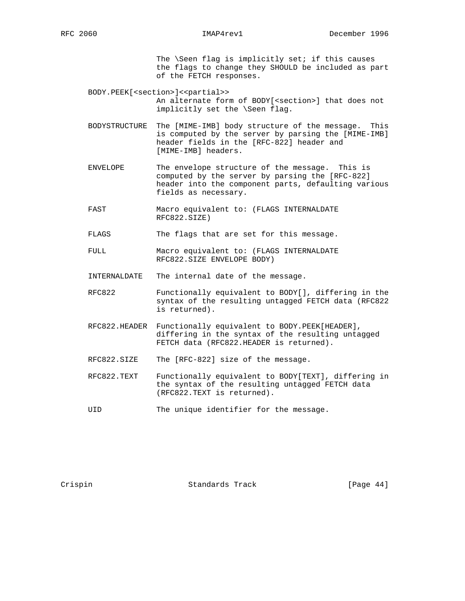The \Seen flag is implicitly set; if this causes the flags to change they SHOULD be included as part of the FETCH responses.

BODY.PEEK[<section>]<<partial>> An alternate form of BODY[<section>] that does not implicitly set the \Seen flag.

- BODYSTRUCTURE The [MIME-IMB] body structure of the message. This is computed by the server by parsing the [MIME-IMB] header fields in the [RFC-822] header and [MIME-IMB] headers.
- ENVELOPE The envelope structure of the message. This is computed by the server by parsing the [RFC-822] header into the component parts, defaulting various fields as necessary.
- FAST Macro equivalent to: (FLAGS INTERNALDATE RFC822.SIZE)
- FLAGS The flags that are set for this message.

 FULL Macro equivalent to: (FLAGS INTERNALDATE RFC822.SIZE ENVELOPE BODY)

- INTERNALDATE The internal date of the message.
- RFC822 Functionally equivalent to BODY[], differing in the syntax of the resulting untagged FETCH data (RFC822 is returned).
- RFC822.HEADER Functionally equivalent to BODY.PEEK[HEADER], differing in the syntax of the resulting untagged FETCH data (RFC822.HEADER is returned).
- RFC822.SIZE The [RFC-822] size of the message.
- RFC822.TEXT Functionally equivalent to BODY[TEXT], differing in the syntax of the resulting untagged FETCH data (RFC822.TEXT is returned).
- UID The unique identifier for the message.

Crispin Standards Track [Page 44]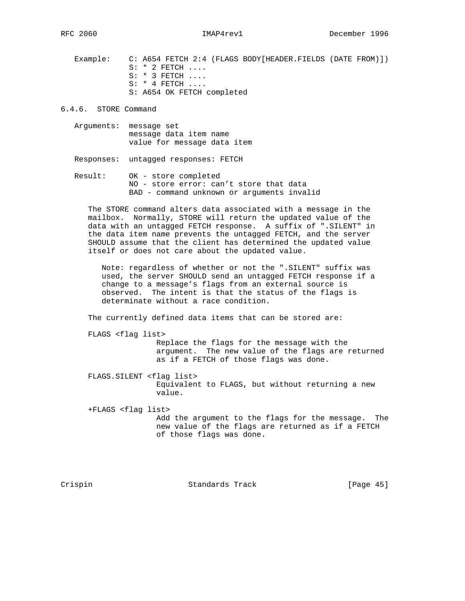Example: C: A654 FETCH 2:4 (FLAGS BODY[HEADER.FIELDS (DATE FROM)]) S: \* 2 FETCH .... S: \* 3 FETCH .... S: \* 4 FETCH .... S: A654 OK FETCH completed

6.4.6. STORE Command

 Arguments: message set message data item name value for message data item

Responses: untagged responses: FETCH

 Result: OK - store completed NO - store error: can't store that data BAD - command unknown or arguments invalid

 The STORE command alters data associated with a message in the mailbox. Normally, STORE will return the updated value of the data with an untagged FETCH response. A suffix of ".SILENT" in the data item name prevents the untagged FETCH, and the server SHOULD assume that the client has determined the updated value itself or does not care about the updated value.

 Note: regardless of whether or not the ".SILENT" suffix was used, the server SHOULD send an untagged FETCH response if a change to a message's flags from an external source is observed. The intent is that the status of the flags is determinate without a race condition.

The currently defined data items that can be stored are:

FLAGS <flag list>

 Replace the flags for the message with the argument. The new value of the flags are returned as if a FETCH of those flags was done.

 FLAGS.SILENT <flag list> Equivalent to FLAGS, but without returning a new value.

 +FLAGS <flag list> Add the argument to the flags for the message. The new value of the flags are returned as if a FETCH of those flags was done.

Crispin Standards Track [Page 45]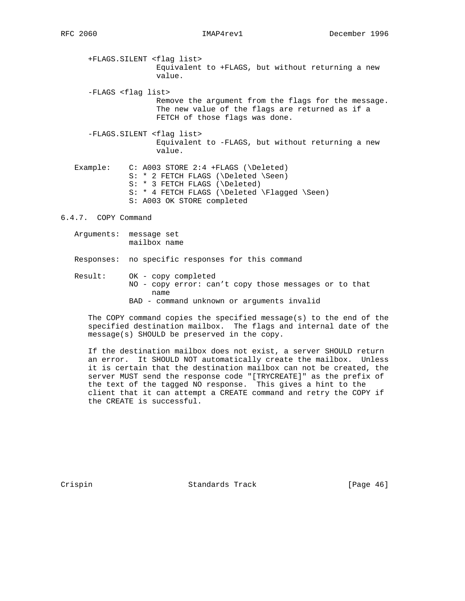- +FLAGS.SILENT <flag list> Equivalent to +FLAGS, but without returning a new value.
- -FLAGS <flag list> Remove the argument from the flags for the message. The new value of the flags are returned as if a FETCH of those flags was done.
- -FLAGS.SILENT <flag list> Equivalent to -FLAGS, but without returning a new value.
- Example: C: A003 STORE 2:4 +FLAGS (\Deleted) S: \* 2 FETCH FLAGS (\Deleted \Seen) S: \* 3 FETCH FLAGS (\Deleted) S: \* 4 FETCH FLAGS (\Deleted \Flagged \Seen) S: A003 OK STORE completed
- 6.4.7. COPY Command
	- Arguments: message set mailbox name

Responses: no specific responses for this command

 Result: OK - copy completed NO - copy error: can't copy those messages or to that name BAD - command unknown or arguments invalid

 The COPY command copies the specified message(s) to the end of the specified destination mailbox. The flags and internal date of the message(s) SHOULD be preserved in the copy.

 If the destination mailbox does not exist, a server SHOULD return an error. It SHOULD NOT automatically create the mailbox. Unless it is certain that the destination mailbox can not be created, the server MUST send the response code "[TRYCREATE]" as the prefix of the text of the tagged NO response. This gives a hint to the client that it can attempt a CREATE command and retry the COPY if the CREATE is successful.

Crispin Standards Track [Page 46]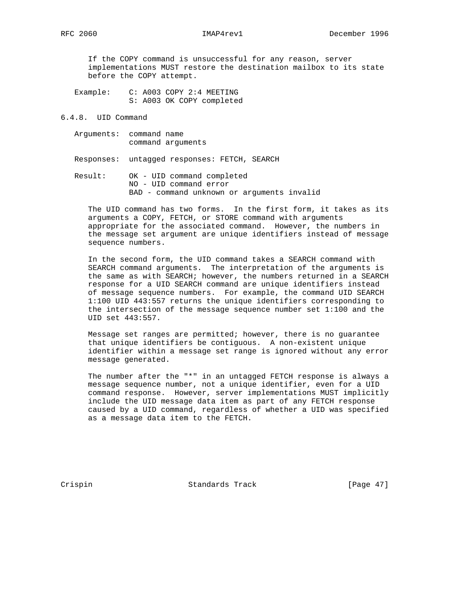If the COPY command is unsuccessful for any reason, server implementations MUST restore the destination mailbox to its state before the COPY attempt.

 Example: C: A003 COPY 2:4 MEETING S: A003 OK COPY completed

## 6.4.8. UID Command

 Arguments: command name command arguments

Responses: untagged responses: FETCH, SEARCH

 Result: OK - UID command completed NO - UID command error BAD - command unknown or arguments invalid

 The UID command has two forms. In the first form, it takes as its arguments a COPY, FETCH, or STORE command with arguments appropriate for the associated command. However, the numbers in the message set argument are unique identifiers instead of message sequence numbers.

 In the second form, the UID command takes a SEARCH command with SEARCH command arguments. The interpretation of the arguments is the same as with SEARCH; however, the numbers returned in a SEARCH response for a UID SEARCH command are unique identifiers instead of message sequence numbers. For example, the command UID SEARCH 1:100 UID 443:557 returns the unique identifiers corresponding to the intersection of the message sequence number set 1:100 and the UID set 443:557.

 Message set ranges are permitted; however, there is no guarantee that unique identifiers be contiguous. A non-existent unique identifier within a message set range is ignored without any error message generated.

 The number after the "\*" in an untagged FETCH response is always a message sequence number, not a unique identifier, even for a UID command response. However, server implementations MUST implicitly include the UID message data item as part of any FETCH response caused by a UID command, regardless of whether a UID was specified as a message data item to the FETCH.

Crispin Standards Track [Page 47]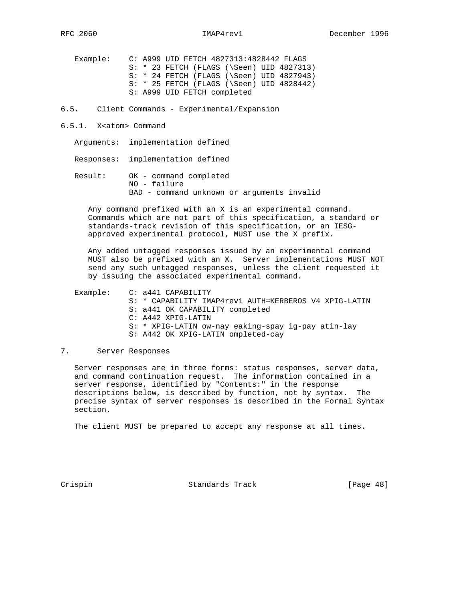Example: C: A999 UID FETCH 4827313:4828442 FLAGS S: \* 23 FETCH (FLAGS (\Seen) UID 4827313) S: \* 24 FETCH (FLAGS (\Seen) UID 4827943) S: \* 25 FETCH (FLAGS (\Seen) UID 4828442) S: A999 UID FETCH completed

6.5. Client Commands - Experimental/Expansion

- 6.5.1. X<atom> Command
	- Arguments: implementation defined

Responses: implementation defined

 Result: OK - command completed NO - failure BAD - command unknown or arguments invalid

 Any command prefixed with an X is an experimental command. Commands which are not part of this specification, a standard or standards-track revision of this specification, or an IESG approved experimental protocol, MUST use the X prefix.

 Any added untagged responses issued by an experimental command MUST also be prefixed with an X. Server implementations MUST NOT send any such untagged responses, unless the client requested it by issuing the associated experimental command.

 Example: C: a441 CAPABILITY S: \* CAPABILITY IMAP4rev1 AUTH=KERBEROS\_V4 XPIG-LATIN S: a441 OK CAPABILITY completed C: A442 XPIG-LATIN S: \* XPIG-LATIN ow-nay eaking-spay ig-pay atin-lay S: A442 OK XPIG-LATIN ompleted-cay

# 7. Server Responses

 Server responses are in three forms: status responses, server data, and command continuation request. The information contained in a server response, identified by "Contents:" in the response descriptions below, is described by function, not by syntax. The precise syntax of server responses is described in the Formal Syntax section.

The client MUST be prepared to accept any response at all times.

Crispin Standards Track [Page 48]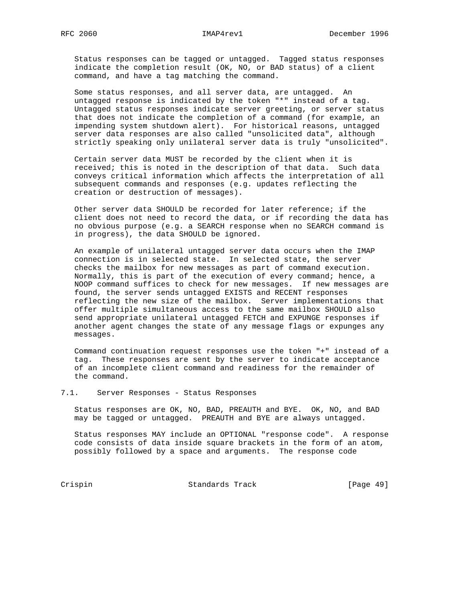Status responses can be tagged or untagged. Tagged status responses indicate the completion result (OK, NO, or BAD status) of a client command, and have a tag matching the command.

 Some status responses, and all server data, are untagged. An untagged response is indicated by the token "\*" instead of a tag. Untagged status responses indicate server greeting, or server status that does not indicate the completion of a command (for example, an impending system shutdown alert). For historical reasons, untagged server data responses are also called "unsolicited data", although strictly speaking only unilateral server data is truly "unsolicited".

 Certain server data MUST be recorded by the client when it is received; this is noted in the description of that data. Such data conveys critical information which affects the interpretation of all subsequent commands and responses (e.g. updates reflecting the creation or destruction of messages).

 Other server data SHOULD be recorded for later reference; if the client does not need to record the data, or if recording the data has no obvious purpose (e.g. a SEARCH response when no SEARCH command is in progress), the data SHOULD be ignored.

 An example of unilateral untagged server data occurs when the IMAP connection is in selected state. In selected state, the server checks the mailbox for new messages as part of command execution. Normally, this is part of the execution of every command; hence, a NOOP command suffices to check for new messages. If new messages are found, the server sends untagged EXISTS and RECENT responses reflecting the new size of the mailbox. Server implementations that offer multiple simultaneous access to the same mailbox SHOULD also send appropriate unilateral untagged FETCH and EXPUNGE responses if another agent changes the state of any message flags or expunges any messages.

 Command continuation request responses use the token "+" instead of a tag. These responses are sent by the server to indicate acceptance of an incomplete client command and readiness for the remainder of the command.

## 7.1. Server Responses - Status Responses

 Status responses are OK, NO, BAD, PREAUTH and BYE. OK, NO, and BAD may be tagged or untagged. PREAUTH and BYE are always untagged.

 Status responses MAY include an OPTIONAL "response code". A response code consists of data inside square brackets in the form of an atom, possibly followed by a space and arguments. The response code

Crispin Standards Track [Page 49]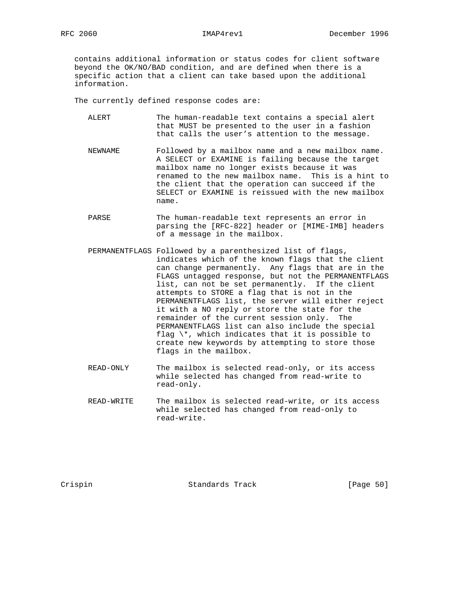contains additional information or status codes for client software beyond the OK/NO/BAD condition, and are defined when there is a specific action that a client can take based upon the additional information.

The currently defined response codes are:

- ALERT The human-readable text contains a special alert that MUST be presented to the user in a fashion that calls the user's attention to the message.
- NEWNAME Followed by a mailbox name and a new mailbox name. A SELECT or EXAMINE is failing because the target mailbox name no longer exists because it was renamed to the new mailbox name. This is a hint to the client that the operation can succeed if the SELECT or EXAMINE is reissued with the new mailbox name.
- PARSE The human-readable text represents an error in parsing the [RFC-822] header or [MIME-IMB] headers of a message in the mailbox.
- PERMANENTFLAGS Followed by a parenthesized list of flags, indicates which of the known flags that the client can change permanently. Any flags that are in the FLAGS untagged response, but not the PERMANENTFLAGS list, can not be set permanently. If the client attempts to STORE a flag that is not in the PERMANENTFLAGS list, the server will either reject it with a NO reply or store the state for the remainder of the current session only. The PERMANENTFLAGS list can also include the special flag  $\setminus^*$ , which indicates that it is possible to create new keywords by attempting to store those flags in the mailbox.
	- READ-ONLY The mailbox is selected read-only, or its access while selected has changed from read-write to read-only.
	- READ-WRITE The mailbox is selected read-write, or its access while selected has changed from read-only to read-write.

Crispin Standards Track [Page 50]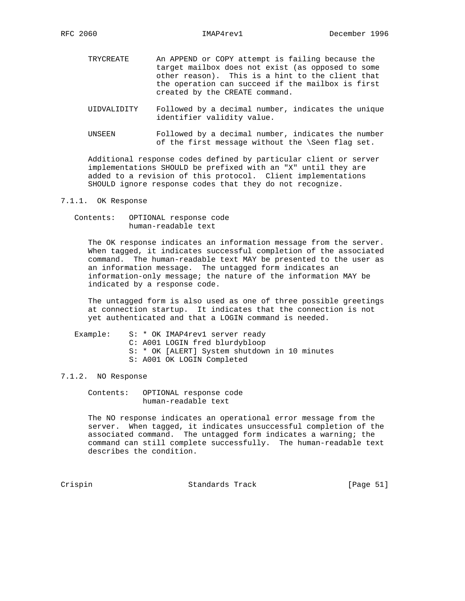- TRYCREATE An APPEND or COPY attempt is failing because the target mailbox does not exist (as opposed to some other reason). This is a hint to the client that the operation can succeed if the mailbox is first created by the CREATE command.
- UIDVALIDITY Followed by a decimal number, indicates the unique identifier validity value.
- UNSEEN Followed by a decimal number, indicates the number of the first message without the \Seen flag set.

 Additional response codes defined by particular client or server implementations SHOULD be prefixed with an "X" until they are added to a revision of this protocol. Client implementations SHOULD ignore response codes that they do not recognize.

# 7.1.1. OK Response

 Contents: OPTIONAL response code human-readable text

 The OK response indicates an information message from the server. When tagged, it indicates successful completion of the associated command. The human-readable text MAY be presented to the user as an information message. The untagged form indicates an information-only message; the nature of the information MAY be indicated by a response code.

 The untagged form is also used as one of three possible greetings at connection startup. It indicates that the connection is not yet authenticated and that a LOGIN command is needed.

Example: S: \* OK IMAP4rev1 server ready C: A001 LOGIN fred blurdybloop S: \* OK [ALERT] System shutdown in 10 minutes S: A001 OK LOGIN Completed

## 7.1.2. NO Response

 Contents: OPTIONAL response code human-readable text

 The NO response indicates an operational error message from the server. When tagged, it indicates unsuccessful completion of the associated command. The untagged form indicates a warning; the command can still complete successfully. The human-readable text describes the condition.

Crispin Crispin Standards Track [Page 51]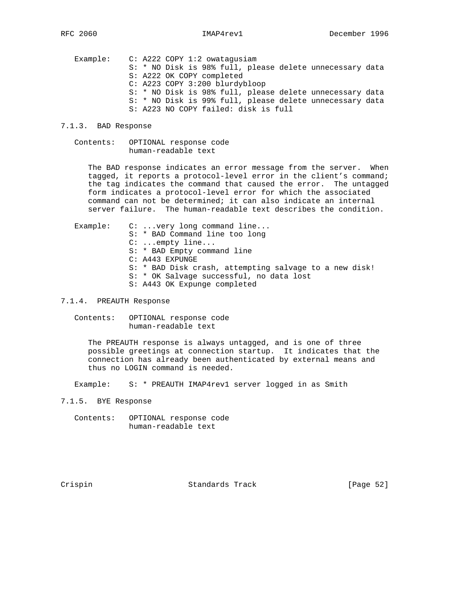Example: C: A222 COPY 1:2 owatagusiam S: \* NO Disk is 98% full, please delete unnecessary data S: A222 OK COPY completed C: A223 COPY 3:200 blurdybloop S: \* NO Disk is 98% full, please delete unnecessary data S: \* NO Disk is 99% full, please delete unnecessary data S: A223 NO COPY failed: disk is full

## 7.1.3. BAD Response

 Contents: OPTIONAL response code human-readable text

 The BAD response indicates an error message from the server. When tagged, it reports a protocol-level error in the client's command; the tag indicates the command that caused the error. The untagged form indicates a protocol-level error for which the associated command can not be determined; it can also indicate an internal server failure. The human-readable text describes the condition.

Example: C: ...very long command line... S: \* BAD Command line too long C: ...empty line... S: \* BAD Empty command line C: A443 EXPUNGE S: \* BAD Disk crash, attempting salvage to a new disk! S: \* OK Salvage successful, no data lost S: A443 OK Expunge completed

7.1.4. PREAUTH Response

 Contents: OPTIONAL response code human-readable text

 The PREAUTH response is always untagged, and is one of three possible greetings at connection startup. It indicates that the connection has already been authenticated by external means and thus no LOGIN command is needed.

Example: S: \* PREAUTH IMAP4rev1 server logged in as Smith

7.1.5. BYE Response

 Contents: OPTIONAL response code human-readable text

Crispin Standards Track [Page 52]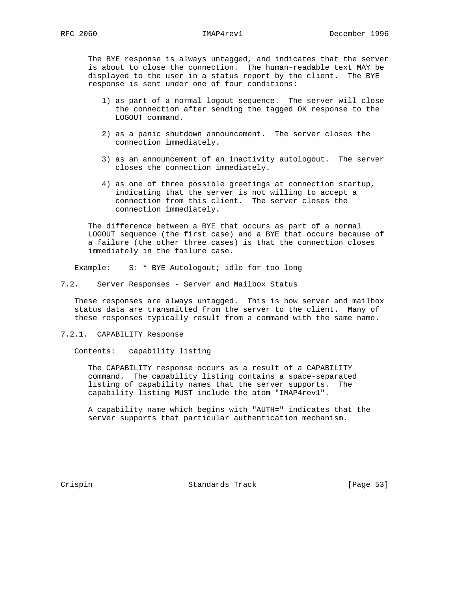The BYE response is always untagged, and indicates that the server is about to close the connection. The human-readable text MAY be displayed to the user in a status report by the client. The BYE response is sent under one of four conditions:

- 1) as part of a normal logout sequence. The server will close the connection after sending the tagged OK response to the LOGOUT command.
- 2) as a panic shutdown announcement. The server closes the connection immediately.
- 3) as an announcement of an inactivity autologout. The server closes the connection immediately.
- 4) as one of three possible greetings at connection startup, indicating that the server is not willing to accept a connection from this client. The server closes the connection immediately.

 The difference between a BYE that occurs as part of a normal LOGOUT sequence (the first case) and a BYE that occurs because of a failure (the other three cases) is that the connection closes immediately in the failure case.

Example: S: \* BYE Autologout; idle for too long

7.2. Server Responses - Server and Mailbox Status

 These responses are always untagged. This is how server and mailbox status data are transmitted from the server to the client. Many of these responses typically result from a command with the same name.

7.2.1. CAPABILITY Response

Contents: capability listing

 The CAPABILITY response occurs as a result of a CAPABILITY command. The capability listing contains a space-separated listing of capability names that the server supports. The capability listing MUST include the atom "IMAP4rev1".

 A capability name which begins with "AUTH=" indicates that the server supports that particular authentication mechanism.

Crispin Standards Track [Page 53]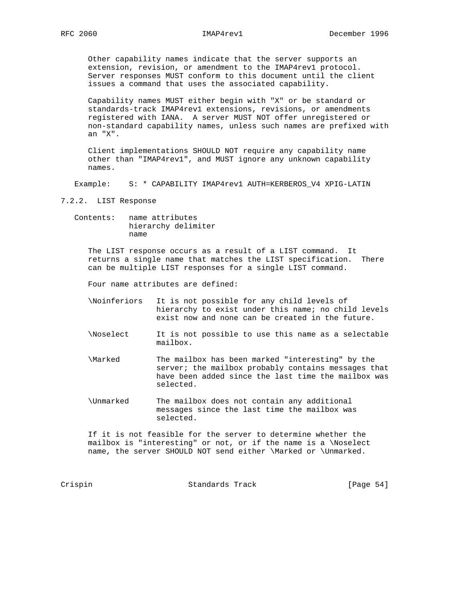Other capability names indicate that the server supports an extension, revision, or amendment to the IMAP4rev1 protocol. Server responses MUST conform to this document until the client issues a command that uses the associated capability.

 Capability names MUST either begin with "X" or be standard or standards-track IMAP4rev1 extensions, revisions, or amendments registered with IANA. A server MUST NOT offer unregistered or non-standard capability names, unless such names are prefixed with an "X".

 Client implementations SHOULD NOT require any capability name other than "IMAP4rev1", and MUST ignore any unknown capability names.

Example: S: \* CAPABILITY IMAP4rev1 AUTH=KERBEROS\_V4 XPIG-LATIN

7.2.2. LIST Response

 Contents: name attributes hierarchy delimiter name

 The LIST response occurs as a result of a LIST command. It returns a single name that matches the LIST specification. There can be multiple LIST responses for a single LIST command.

Four name attributes are defined:

- \Noinferiors It is not possible for any child levels of hierarchy to exist under this name; no child levels exist now and none can be created in the future.
- \Noselect It is not possible to use this name as a selectable mailbox.
- \Marked The mailbox has been marked "interesting" by the server; the mailbox probably contains messages that have been added since the last time the mailbox was selected.
- \Unmarked The mailbox does not contain any additional messages since the last time the mailbox was selected.

 If it is not feasible for the server to determine whether the mailbox is "interesting" or not, or if the name is a \Noselect name, the server SHOULD NOT send either \Marked or \Unmarked.

Crispin Standards Track [Page 54]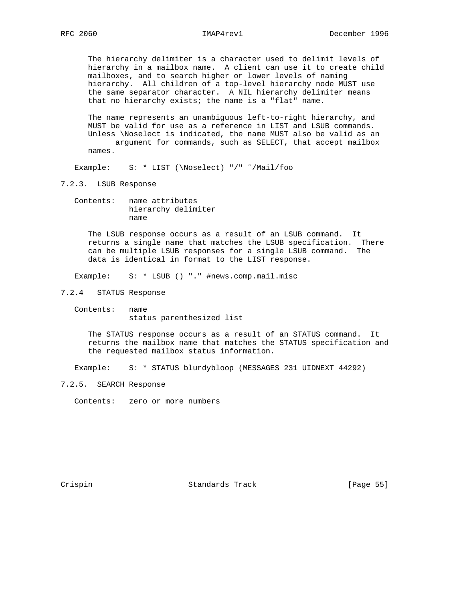The hierarchy delimiter is a character used to delimit levels of hierarchy in a mailbox name. A client can use it to create child mailboxes, and to search higher or lower levels of naming hierarchy. All children of a top-level hierarchy node MUST use the same separator character. A NIL hierarchy delimiter means that no hierarchy exists; the name is a "flat" name.

 The name represents an unambiguous left-to-right hierarchy, and MUST be valid for use as a reference in LIST and LSUB commands. Unless \Noselect is indicated, the name MUST also be valid as an argument for commands, such as SELECT, that accept mailbox names.

Example: S: \* LIST (\Noselect) "/" ˜/Mail/foo

7.2.3. LSUB Response

 Contents: name attributes hierarchy delimiter name

 The LSUB response occurs as a result of an LSUB command. It returns a single name that matches the LSUB specification. There can be multiple LSUB responses for a single LSUB command. The data is identical in format to the LIST response.

Example: S: \* LSUB () "." #news.comp.mail.misc

- 7.2.4 STATUS Response
	- Contents: name status parenthesized list

 The STATUS response occurs as a result of an STATUS command. It returns the mailbox name that matches the STATUS specification and the requested mailbox status information.

Example: S: \* STATUS blurdybloop (MESSAGES 231 UIDNEXT 44292)

7.2.5. SEARCH Response

Contents: zero or more numbers

Crispin Standards Track [Page 55]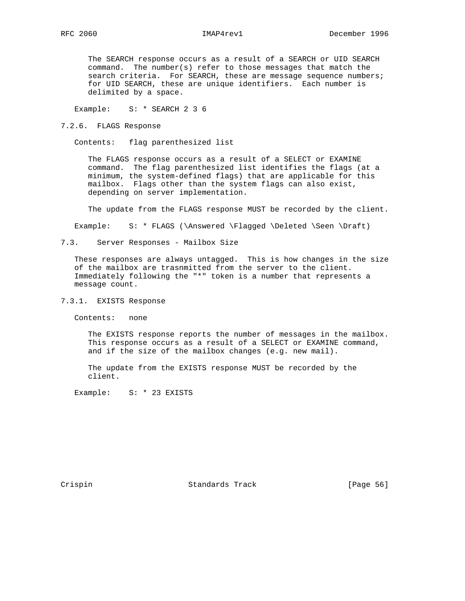The SEARCH response occurs as a result of a SEARCH or UID SEARCH command. The number(s) refer to those messages that match the search criteria. For SEARCH, these are message sequence numbers; for UID SEARCH, these are unique identifiers. Each number is delimited by a space.

Example: S: \* SEARCH 2 3 6

7.2.6. FLAGS Response

Contents: flag parenthesized list

 The FLAGS response occurs as a result of a SELECT or EXAMINE command. The flag parenthesized list identifies the flags (at a minimum, the system-defined flags) that are applicable for this mailbox. Flags other than the system flags can also exist, depending on server implementation.

The update from the FLAGS response MUST be recorded by the client.

Example: S: \* FLAGS (\Answered \Flagged \Deleted \Seen \Draft)

7.3. Server Responses - Mailbox Size

 These responses are always untagged. This is how changes in the size of the mailbox are trasnmitted from the server to the client. Immediately following the "\*" token is a number that represents a message count.

7.3.1. EXISTS Response

Contents: none

 The EXISTS response reports the number of messages in the mailbox. This response occurs as a result of a SELECT or EXAMINE command, and if the size of the mailbox changes (e.g. new mail).

 The update from the EXISTS response MUST be recorded by the client.

Example: S: \* 23 EXISTS

Crispin Crispin Standards Track [Page 56]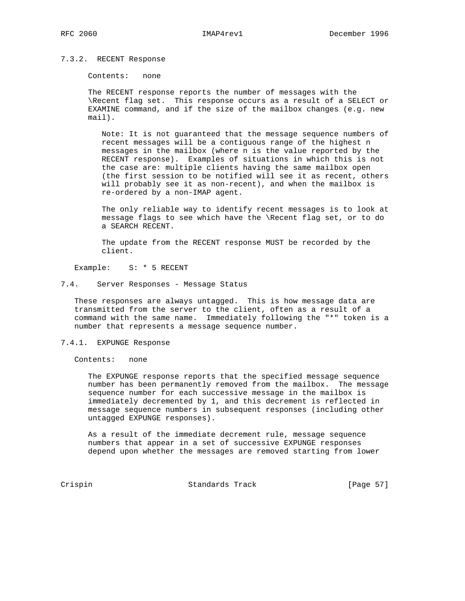### 7.3.2. RECENT Response

Contents: none

 The RECENT response reports the number of messages with the \Recent flag set. This response occurs as a result of a SELECT or EXAMINE command, and if the size of the mailbox changes (e.g. new mail).

 Note: It is not guaranteed that the message sequence numbers of recent messages will be a contiguous range of the highest n messages in the mailbox (where n is the value reported by the RECENT response). Examples of situations in which this is not the case are: multiple clients having the same mailbox open (the first session to be notified will see it as recent, others will probably see it as non-recent), and when the mailbox is re-ordered by a non-IMAP agent.

 The only reliable way to identify recent messages is to look at message flags to see which have the \Recent flag set, or to do a SEARCH RECENT.

 The update from the RECENT response MUST be recorded by the client.

Example: S: \* 5 RECENT

### 7.4. Server Responses - Message Status

 These responses are always untagged. This is how message data are transmitted from the server to the client, often as a result of a command with the same name. Immediately following the "\*" token is a number that represents a message sequence number.

### 7.4.1. EXPUNGE Response

Contents: none

 The EXPUNGE response reports that the specified message sequence number has been permanently removed from the mailbox. The message sequence number for each successive message in the mailbox is immediately decremented by 1, and this decrement is reflected in message sequence numbers in subsequent responses (including other untagged EXPUNGE responses).

 As a result of the immediate decrement rule, message sequence numbers that appear in a set of successive EXPUNGE responses depend upon whether the messages are removed starting from lower

Crispin Crispin Standards Track [Page 57]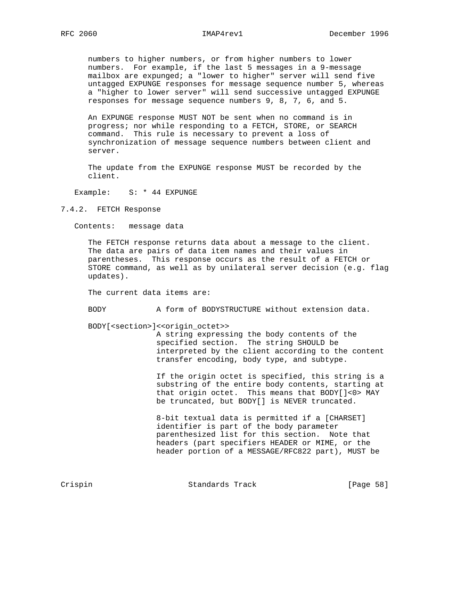numbers to higher numbers, or from higher numbers to lower numbers. For example, if the last 5 messages in a 9-message

 mailbox are expunged; a "lower to higher" server will send five untagged EXPUNGE responses for message sequence number 5, whereas a "higher to lower server" will send successive untagged EXPUNGE responses for message sequence numbers 9, 8, 7, 6, and 5.

 An EXPUNGE response MUST NOT be sent when no command is in progress; nor while responding to a FETCH, STORE, or SEARCH command. This rule is necessary to prevent a loss of synchronization of message sequence numbers between client and server.

 The update from the EXPUNGE response MUST be recorded by the client.

Example: S: \* 44 EXPUNGE

7.4.2. FETCH Response

Contents: message data

 The FETCH response returns data about a message to the client. The data are pairs of data item names and their values in parentheses. This response occurs as the result of a FETCH or STORE command, as well as by unilateral server decision (e.g. flag updates).

The current data items are:

BODY A form of BODYSTRUCTURE without extension data.

BODY[<section>]<<origin\_octet>>

 A string expressing the body contents of the specified section. The string SHOULD be interpreted by the client according to the content transfer encoding, body type, and subtype.

 If the origin octet is specified, this string is a substring of the entire body contents, starting at that origin octet. This means that BODY[]<0> MAY be truncated, but BODY[] is NEVER truncated.

 8-bit textual data is permitted if a [CHARSET] identifier is part of the body parameter parenthesized list for this section. Note that headers (part specifiers HEADER or MIME, or the header portion of a MESSAGE/RFC822 part), MUST be

Crispin Crispin Standards Track [Page 58]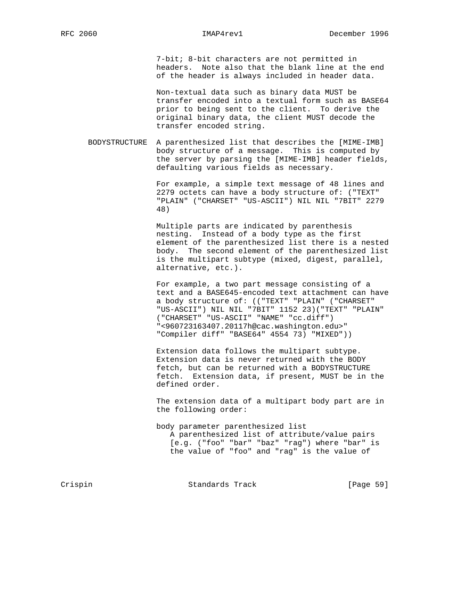7-bit; 8-bit characters are not permitted in headers. Note also that the blank line at the end of the header is always included in header data.

 Non-textual data such as binary data MUST be transfer encoded into a textual form such as BASE64 prior to being sent to the client. To derive the original binary data, the client MUST decode the transfer encoded string.

 BODYSTRUCTURE A parenthesized list that describes the [MIME-IMB] body structure of a message. This is computed by the server by parsing the [MIME-IMB] header fields, defaulting various fields as necessary.

> For example, a simple text message of 48 lines and 2279 octets can have a body structure of: ("TEXT" "PLAIN" ("CHARSET" "US-ASCII") NIL NIL "7BIT" 2279 48)

 Multiple parts are indicated by parenthesis nesting. Instead of a body type as the first element of the parenthesized list there is a nested body. The second element of the parenthesized list is the multipart subtype (mixed, digest, parallel, alternative, etc.).

 For example, a two part message consisting of a text and a BASE645-encoded text attachment can have a body structure of: (("TEXT" "PLAIN" ("CHARSET" "US-ASCII") NIL NIL "7BIT" 1152 23)("TEXT" "PLAIN" ("CHARSET" "US-ASCII" "NAME" "cc.diff") "<960723163407.20117h@cac.washington.edu>" "Compiler diff" "BASE64" 4554 73) "MIXED"))

 Extension data follows the multipart subtype. Extension data is never returned with the BODY fetch, but can be returned with a BODYSTRUCTURE fetch. Extension data, if present, MUST be in the defined order.

 The extension data of a multipart body part are in the following order:

 body parameter parenthesized list A parenthesized list of attribute/value pairs [e.g. ("foo" "bar" "baz" "rag") where "bar" is the value of "foo" and "rag" is the value of

Crispin Crispin Standards Track [Page 59]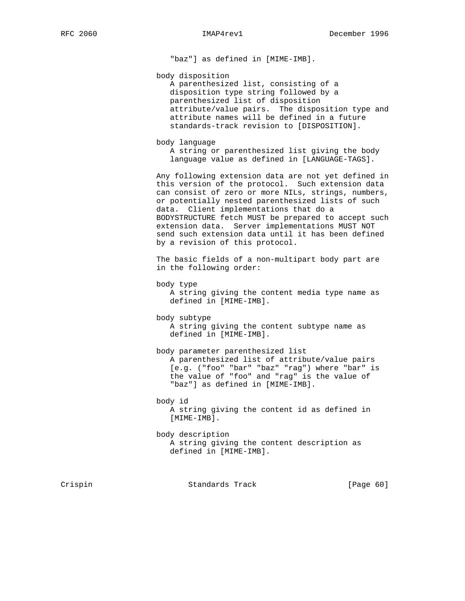"baz"] as defined in [MIME-IMB].

body disposition

 A parenthesized list, consisting of a disposition type string followed by a parenthesized list of disposition attribute/value pairs. The disposition type and attribute names will be defined in a future standards-track revision to [DISPOSITION].

body language

 A string or parenthesized list giving the body language value as defined in [LANGUAGE-TAGS].

 Any following extension data are not yet defined in this version of the protocol. Such extension data can consist of zero or more NILs, strings, numbers, or potentially nested parenthesized lists of such data. Client implementations that do a BODYSTRUCTURE fetch MUST be prepared to accept such extension data. Server implementations MUST NOT send such extension data until it has been defined by a revision of this protocol.

 The basic fields of a non-multipart body part are in the following order:

```
 body type
```
 A string giving the content media type name as defined in [MIME-IMB].

 body subtype A string giving the content subtype name as defined in [MIME-IMB].

body parameter parenthesized list

 A parenthesized list of attribute/value pairs [e.g. ("foo" "bar" "baz" "rag") where "bar" is the value of "foo" and "rag" is the value of "baz"] as defined in [MIME-IMB].

 body id A string giving the content id as defined in [MIME-IMB].

 body description A string giving the content description as defined in [MIME-IMB].

Crispin Standards Track [Page 60]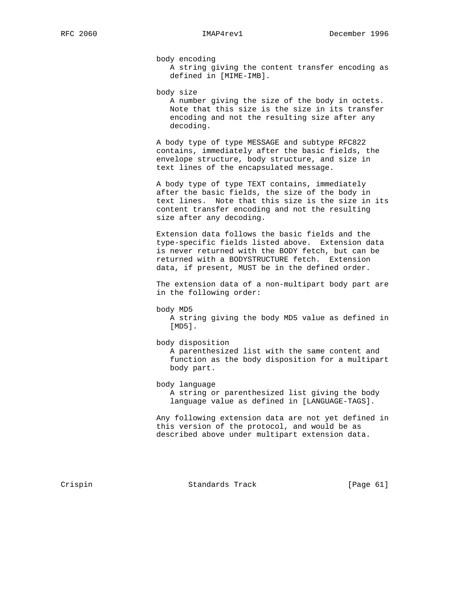body encoding

 A string giving the content transfer encoding as defined in [MIME-IMB].

body size

 A number giving the size of the body in octets. Note that this size is the size in its transfer encoding and not the resulting size after any decoding.

 A body type of type MESSAGE and subtype RFC822 contains, immediately after the basic fields, the envelope structure, body structure, and size in text lines of the encapsulated message.

 A body type of type TEXT contains, immediately after the basic fields, the size of the body in text lines. Note that this size is the size in its content transfer encoding and not the resulting size after any decoding.

 Extension data follows the basic fields and the type-specific fields listed above. Extension data is never returned with the BODY fetch, but can be returned with a BODYSTRUCTURE fetch. Extension data, if present, MUST be in the defined order.

 The extension data of a non-multipart body part are in the following order:

body MD5

 A string giving the body MD5 value as defined in [MD5].

 body disposition A parenthesized list with the same content and function as the body disposition for a multipart body part.

body language

 A string or parenthesized list giving the body language value as defined in [LANGUAGE-TAGS].

 Any following extension data are not yet defined in this version of the protocol, and would be as described above under multipart extension data.

Crispin Crispin Standards Track [Page 61]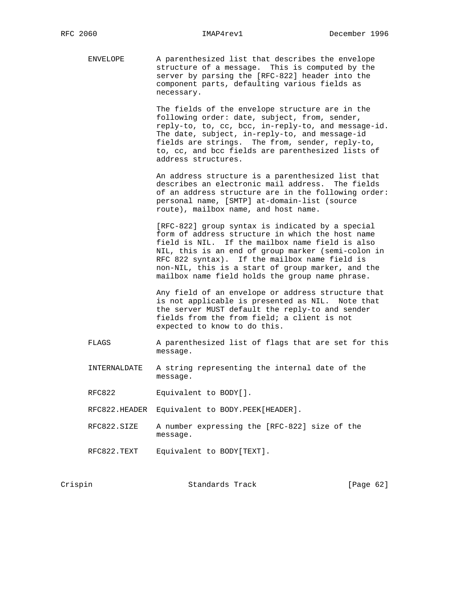ENVELOPE A parenthesized list that describes the envelope structure of a message. This is computed by the server by parsing the [RFC-822] header into the component parts, defaulting various fields as necessary.

> The fields of the envelope structure are in the following order: date, subject, from, sender, reply-to, to, cc, bcc, in-reply-to, and message-id. The date, subject, in-reply-to, and message-id fields are strings. The from, sender, reply-to, to, cc, and bcc fields are parenthesized lists of address structures.

> An address structure is a parenthesized list that describes an electronic mail address. The fields of an address structure are in the following order: personal name, [SMTP] at-domain-list (source route), mailbox name, and host name.

 [RFC-822] group syntax is indicated by a special form of address structure in which the host name field is NIL. If the mailbox name field is also NIL, this is an end of group marker (semi-colon in RFC 822 syntax). If the mailbox name field is non-NIL, this is a start of group marker, and the mailbox name field holds the group name phrase.

 Any field of an envelope or address structure that is not applicable is presented as NIL. Note that the server MUST default the reply-to and sender fields from the from field; a client is not expected to know to do this.

- FLAGS A parenthesized list of flags that are set for this message.
- INTERNALDATE A string representing the internal date of the message.
- RFC822 Equivalent to BODY[].
- RFC822.HEADER Equivalent to BODY.PEEK[HEADER].
- RFC822.SIZE A number expressing the [RFC-822] size of the message.
- RFC822.TEXT Equivalent to BODY[TEXT].

| Crispin | [Page 62]<br>Standards Track |  |
|---------|------------------------------|--|
|---------|------------------------------|--|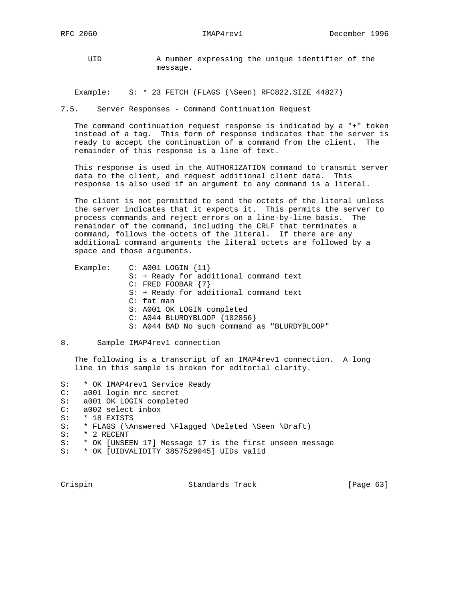UID A number expressing the unique identifier of the message.

Example: S: \* 23 FETCH (FLAGS (\Seen) RFC822.SIZE 44827)

7.5. Server Responses - Command Continuation Request

 The command continuation request response is indicated by a "+" token instead of a tag. This form of response indicates that the server is ready to accept the continuation of a command from the client. The remainder of this response is a line of text.

 This response is used in the AUTHORIZATION command to transmit server data to the client, and request additional client data. This response is also used if an argument to any command is a literal.

 The client is not permitted to send the octets of the literal unless the server indicates that it expects it. This permits the server to process commands and reject errors on a line-by-line basis. The remainder of the command, including the CRLF that terminates a command, follows the octets of the literal. If there are any additional command arguments the literal octets are followed by a space and those arguments.

| Example: $C: A001 LOGIN \{11\}$              |
|----------------------------------------------|
| S: + Ready for additional command text       |
| C: FRED FOOBAR {7}                           |
| S: + Ready for additional command text       |
| $C:$ fat man                                 |
| S: A001 OK LOGIN completed                   |
| $C: A044 BLURDYBLOOP {102856}$               |
| S: A044 BAD No such command as "BLURDYBLOOP" |

### 8. Sample IMAP4rev1 connection

 The following is a transcript of an IMAP4rev1 connection. A long line in this sample is broken for editorial clarity.

S: \* OK IMAP4rev1 Service Ready

- C: a001 login mrc secret
- S: a001 OK LOGIN completed
- C: a002 select inbox
- S: \* 18 EXISTS
- S: \* FLAGS (\Answered \Flagged \Deleted \Seen \Draft)
- S: \* 2 RECENT
- S: \* OK [UNSEEN 17] Message 17 is the first unseen message
- S: \* OK [UIDVALIDITY 3857529045] UIDs valid

Crispin Crispin Standards Track [Page 63]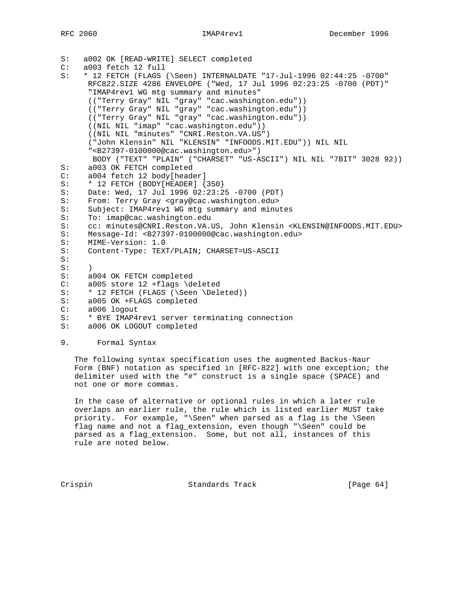```
S: a002 OK [READ-WRITE] SELECT completed
C: a003 fetch 12 full
S: * 12 FETCH (FLAGS (\Seen) INTERNALDATE "17-Jul-1996 02:44:25 -0700"
      RFC822.SIZE 4286 ENVELOPE ("Wed, 17 Jul 1996 02:23:25 -0700 (PDT)"
       "IMAP4rev1 WG mtg summary and minutes"
      (("Terry Gray" NIL "gray" "cac.washington.edu"))
       (("Terry Gray" NIL "gray" "cac.washington.edu"))
       (("Terry Gray" NIL "gray" "cac.washington.edu"))
       ((NIL NIL "imap" "cac.washington.edu"))
       ((NIL NIL "minutes" "CNRI.Reston.VA.US")
       ("John Klensin" NIL "KLENSIN" "INFOODS.MIT.EDU")) NIL NIL
       "<B27397-0100000@cac.washington.edu>")
       BODY ("TEXT" "PLAIN" ("CHARSET" "US-ASCII") NIL NIL "7BIT" 3028 92))
S: a003 OK FETCH completed
C: a004 fetch 12 body[header]
S: * 12 FETCH (BODY[HEADER] {350}
S: Date: Wed, 17 Jul 1996 02:23:25 -0700 (PDT)
S: From: Terry Gray <gray@cac.washington.edu>
S: Subject: IMAP4rev1 WG mtg summary and minutes
S: To: imap@cac.washington.edu
S: cc: minutes@CNRI.Reston.VA.US, John Klensin <KLENSIN@INFOODS.MIT.EDU>
S: Message-Id: <B27397-0100000@cac.washington.edu>
S: MIME-Version: 1.0
S: Content-Type: TEXT/PLAIN; CHARSET=US-ASCII
S:S: )
S: a004 OK FETCH completed
C: a005 store 12 +flags \deleted
S: * 12 FETCH (FLAGS (\Seen \Deleted))
S: a005 OK +FLAGS completed<br>C: a006 logout
    a006 logout
S: * BYE IMAP4rev1 server terminating connection
S: a006 OK LOGOUT completed
```
### 9. Formal Syntax

 The following syntax specification uses the augmented Backus-Naur Form (BNF) notation as specified in [RFC-822] with one exception; the delimiter used with the "#" construct is a single space (SPACE) and not one or more commas.

 In the case of alternative or optional rules in which a later rule overlaps an earlier rule, the rule which is listed earlier MUST take priority. For example, "\Seen" when parsed as a flag is the \Seen flag name and not a flag\_extension, even though "\Seen" could be parsed as a flag\_extension. Some, but not all, instances of this rule are noted below.

Crispin Standards Track [Page 64]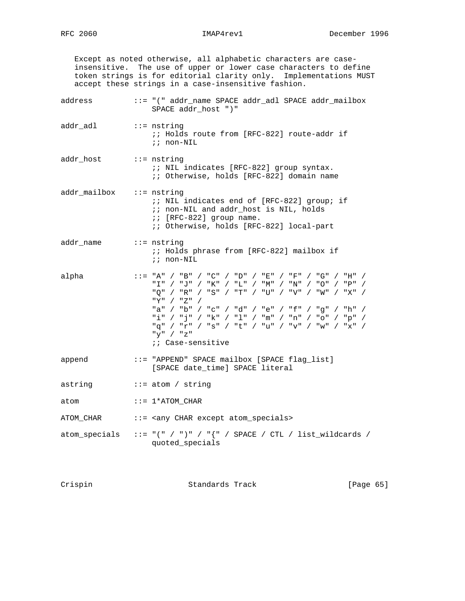Except as noted otherwise, all alphabetic characters are case insensitive. The use of upper or lower case characters to define token strings is for editorial clarity only. Implementations MUST accept these strings in a case-insensitive fashion. address ::= "(" addr\_name SPACE addr\_adl SPACE addr\_mailbox SPACE addr\_host ")" addr\_adl ::= nstring ;; Holds route from [RFC-822] route-addr if ;; non-NIL addr\_host ::= nstring ;; NIL indicates [RFC-822] group syntax. ;; Otherwise, holds [RFC-822] domain name addr\_mailbox ::= nstring ;; NIL indicates end of [RFC-822] group; if ;; non-NIL and addr\_host is NIL, holds ;; [RFC-822] group name. ;; Otherwise, holds [RFC-822] local-part addr\_name ::= nstring ;; Holds phrase from [RFC-822] mailbox if ;; non-NIL alpha  $\qquad :: = "A" / "B" / "C" / "D" / "E" / "F" / "G" / "H" /$  "I" / "J" / "K" / "L" / "M" / "N" / "O" / "P" / "Q" / "R" / "S" / "T" / "U" / "V" / "W" / "X" / "Y" / "Z" / "a" / "b" / "c" / "d" / "e" / "f" / "g" / "h" / "i" / "j" / "k" / "l" / "m" / "n" / "o" / "p" / "q" / "r" / "s" / "t" / "u" / "v" / "w" / "x" / "y" / "z" ;; Case-sensitive append ::= "APPEND" SPACE mailbox [SPACE flag\_list] [SPACE date\_time] SPACE literal astring ::= atom / string atom  $::= 1*ATOM\_CHAR$ ATOM\_CHAR ::= <any CHAR except atom\_specials> atom\_specials ::= " $(" / ")" / "{" / SPACE / CTL / list_wildcards /$ quoted\_specials

Crispin Standards Track [Page 65]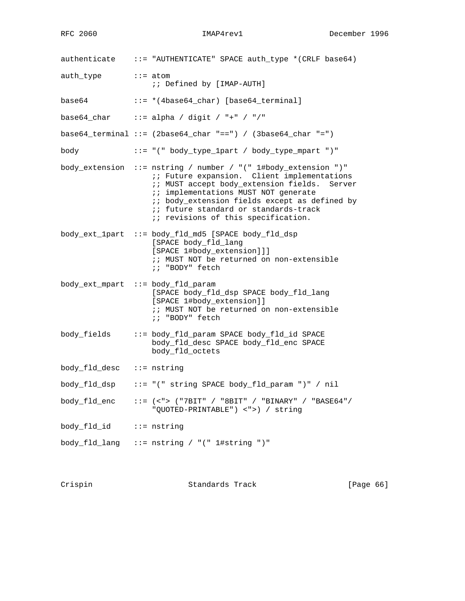authenticate ::= "AUTHENTICATE" SPACE auth\_type \*(CRLF base64) auth\_type ::= atom ;; Defined by [IMAP-AUTH] base64 ::= \*(4base64\_char) [base64\_terminal] base64\_char ::= alpha / digit / "+" / "/" base $64$ \_terminal ::= (2base $64$ \_char "==") / (3base $64$ \_char "=") body ::= "(" body\_type\_1part / body\_type\_mpart ")" body\_extension ::= nstring / number / "(" 1#body\_extension ")" i; Future expansion. Client implementations ;; MUST accept body\_extension fields. Server ;; implementations MUST NOT generate ;; body\_extension fields except as defined by ;; future standard or standards-track  $i$ ; revisions of this specification. body\_ext\_1part ::= body\_fld\_md5 [SPACE body\_fld\_dsp [SPACE body\_fld\_lang [SPACE 1#body\_extension]]] ;; MUST NOT be returned on non-extensible ;; "BODY" fetch body ext mpart  $::=$  body fld param [SPACE body\_fld\_dsp SPACE body\_fld\_lang [SPACE 1#body\_extension]] ;; MUST NOT be returned on non-extensible ;; "BODY" fetch body\_fields ::= body\_fld\_param SPACE body\_fld\_id SPACE body\_fld\_desc SPACE body\_fld\_enc SPACE body\_fld\_octets body\_fld\_desc ::= nstring body\_fld\_dsp ::= "(" string SPACE body\_fld\_param ")" / nil body\_fld\_enc ::= (<"> ("7BIT" / "8BIT" / "BINARY" / "BASE64"/ "QUOTED-PRINTABLE") <">) / string body\_fld\_id ::= nstring body\_fld\_lang ::= nstring / "(" 1#string ")"

Crispin Crispin Standards Track [Page 66]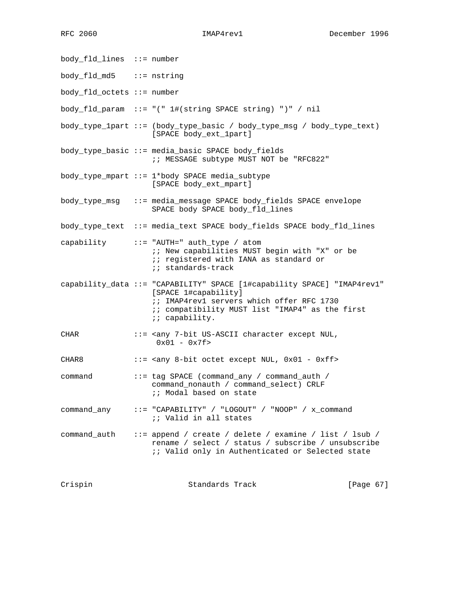body\_fld\_lines ::= number body\_fld\_md5 ::= nstring body\_fld\_octets ::= number body\_fld\_param ::= "(" 1#(string SPACE string) ")" / nil body\_type\_1part ::= (body\_type\_basic / body\_type\_msg / body\_type\_text) [SPACE body\_ext\_1part] body\_type\_basic ::= media\_basic SPACE body\_fields ;; MESSAGE subtype MUST NOT be "RFC822" body\_type\_mpart ::= 1\*body SPACE media\_subtype [SPACE body\_ext\_mpart] body\_type\_msg ::= media\_message SPACE body\_fields SPACE envelope SPACE body SPACE body\_fld\_lines body\_type\_text ::= media\_text SPACE body\_fields SPACE body\_fld\_lines capability ::= "AUTH=" auth\_type / atom ;; New capabilities MUST begin with "X" or be  $i$ ; registered with IANA as standard or ;; standards-track capability\_data ::= "CAPABILITY" SPACE [1#capability SPACE] "IMAP4rev1" [SPACE 1#capability] ;; IMAP4rev1 servers which offer RFC 1730 ;; compatibility MUST list "IMAP4" as the first : capability. CHAR ::= <any 7-bit US-ASCII character except NUL, 0x01 - 0x7f> CHAR8 ::= <any 8-bit octet except NUL, 0x01 - 0xff> command ::= tag SPACE (command\_any / command\_auth / command\_nonauth / command\_select) CRLF  $i$ ; Modal based on state command\_any ::= "CAPABILITY" / "LOGOUT" / "NOOP" / x\_command ;; Valid in all states command\_auth ::= append / create / delete / examine / list / lsub / rename / select / status / subscribe / unsubscribe ;; Valid only in Authenticated or Selected state

Crispin Standards Track [Page 67]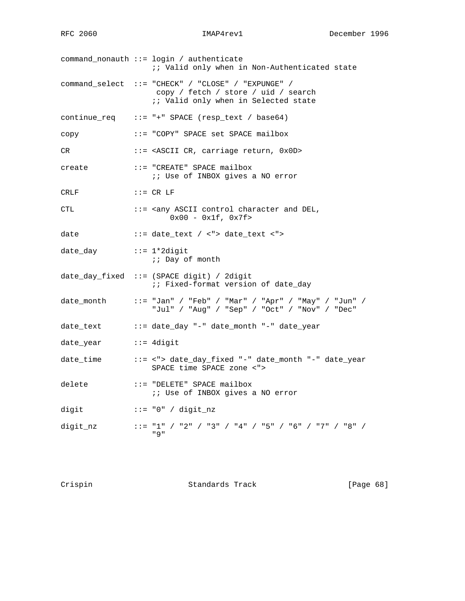command\_nonauth ::= login / authenticate ;; Valid only when in Non-Authenticated state command\_select ::= "CHECK" / "CLOSE" / "EXPUNGE" / copy / fetch / store / uid / search *i*; Valid only when in Selected state  $continue_req :: = "+" SPACE (resp\_text / base64)$ copy ::= "COPY" SPACE set SPACE mailbox CR ::= <ASCII CR, carriage return, 0x0D> create ::= "CREATE" SPACE mailbox ;; Use of INBOX gives a NO error CRLF ::= CR LF CTL ::= <any ASCII control character and DEL, 0x00 - 0x1f, 0x7f> date ::= date\_text / <"> date\_text <"> date\_day ::= 1\*2digit ;; Day of month date\_day\_fixed ::= (SPACE digit) / 2digit :: Fixed-format version of date\_day date\_month  $\qquad :: = "Jan" / "Feb" / "Mar" / "Apr" / "May" / "Jun" /$  "Jul" / "Aug" / "Sep" / "Oct" / "Nov" / "Dec" date\_text ::= date\_day "-" date\_month "-" date\_year date\_year ::= 4digit date\_time ::= <"> date\_day\_fixed "-" date\_month "-" date\_year SPACE time SPACE zone <"> delete ::= "DELETE" SPACE mailbox ;; Use of INBOX gives a NO error digit ::= "0" / digit\_nz digit\_nz ::= "1" / "2" / "3" / "4" / "5" / "6" / "7" / "8" / "9"

Crispin Crispin Standards Track [Page 68]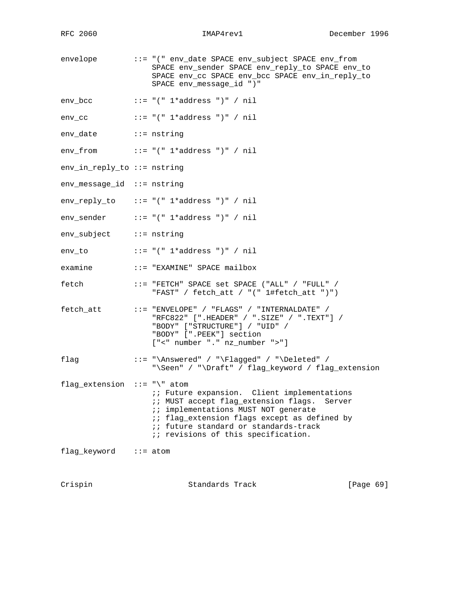envelope ::= "(" env\_date SPACE env\_subject SPACE env\_from SPACE env\_sender SPACE env\_reply\_to SPACE env\_to SPACE env\_cc SPACE env\_bcc SPACE env\_in\_reply\_to SPACE env\_message\_id ")" env\_bcc  $::= "(" 1*address ")" / nil$ env\_cc  $::= "(" 1*address ")" / nil$ env\_date ::= nstring env\_from ::= "(" 1\*address ")" / nil env\_in\_reply\_to ::= nstring env\_message\_id ::= nstring env\_reply\_to ::= "(" 1\*address ")" / nil env\_sender ::= "(" 1\*address ")" / nil env\_subject ::= nstring env\_to  $::= "(" 1*address ")" / nil$ examine ::= "EXAMINE" SPACE mailbox fetch ::= "FETCH" SPACE set SPACE ("ALL" / "FULL" / "FAST" / fetch\_att / "(" 1#fetch\_att ")") fetch\_att ::= "ENVELOPE" / "FLAGS" / "INTERNALDATE" / "RFC822" [".HEADER" / ".SIZE" / ".TEXT"] / "BODY" ["STRUCTURE"] / "UID" / "BODY" [".PEEK"] section ["<" number "." nz\_number ">"] flag ::= "\Answered" / "\Flagged" / "\Deleted" / "\Seen" / "\Draft" / flag\_keyword / flag\_extension flag\_extension ::= "\" atom ;; Future expansion. Client implementations ;; MUST accept flag\_extension flags. Server ;; implementations MUST NOT generate ;; flag\_extension flags except as defined by ;; future standard or standards-track  $\ldots$  i; revisions of this specification. flag\_keyword ::= atom

Crispin Standards Track [Page 69]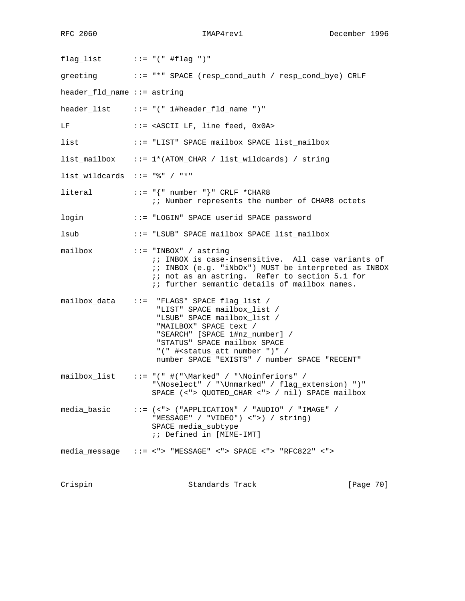flag\_list ::= "(" #flag ")" greeting ::= "\*" SPACE (resp\_cond\_auth / resp\_cond\_bye) CRLF header\_fld\_name ::= astring header\_list ::= "(" 1#header\_fld\_name ")" LF ::= <ASCII LF, line feed, 0x0A> list ::= "LIST" SPACE mailbox SPACE list\_mailbox list\_mailbox ::= 1\*(ATOM\_CHAR / list\_wildcards) / string list\_wildcards ::= "%" / "\*"  $\begin{array}{ccc} \text{literal} & \cdots & \cdots & \cdots \\ \end{array}$  ::= "{" number "}" CRLF \*CHAR8 ;; Number represents the number of CHAR8 octets login ::= "LOGIN" SPACE userid SPACE password lsub ::= "LSUB" SPACE mailbox SPACE list\_mailbox mailbox ::= "INBOX" / astring ;; INBOX is case-insensitive. All case variants of ;; INBOX (e.g. "iNbOx") MUST be interpreted as INBOX ;; not as an astring. Refer to section 5.1 for ;; further semantic details of mailbox names. mailbox\_data ::= "FLAGS" SPACE flag\_list / "LIST" SPACE mailbox\_list / "LSUB" SPACE mailbox\_list / "MAILBOX" SPACE text / "SEARCH" [SPACE 1#nz\_number] / "STATUS" SPACE mailbox SPACE "(" #<status\_att number ")" / number SPACE "EXISTS" / number SPACE "RECENT"  $mailbox_list$  ::= "("  $\#$ ("\Marked" / "\Noinferiors" / "\Noselect" / "\Unmarked" / flag\_extension) ")" SPACE (<"> QUOTED\_CHAR <"> / nil) SPACE mailbox media\_basic ::= (<"> ("APPLICATION" / "AUDIO" / "IMAGE" / "MESSAGE" / "VIDEO") <">) / string) SPACE media\_subtype ;; Defined in [MIME-IMT] media\_message ::= <"> "MESSAGE" <"> SPACE <"> "RFC822" <"> Crispin Standards Track [Page 70]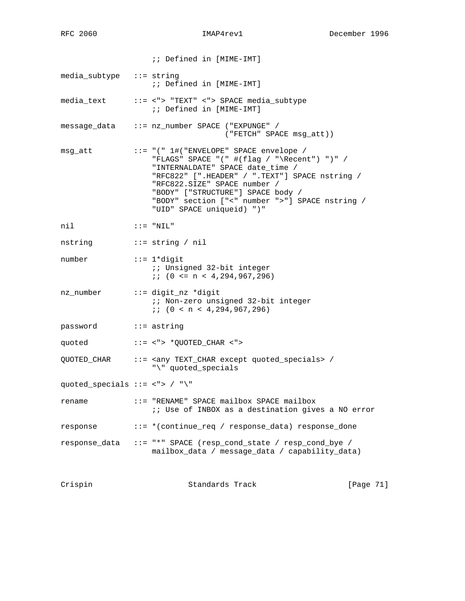|                                     | :: Defined in [MIME-IMT]                                                                                                                                                                                                                                                               |
|-------------------------------------|----------------------------------------------------------------------------------------------------------------------------------------------------------------------------------------------------------------------------------------------------------------------------------------|
| media_subtype ::= string            | ;; Defined in [MIME-IMT]                                                                                                                                                                                                                                                               |
|                                     | media_text ::= <"> "TEXT" <"> SPACE media_subtype<br>;; Defined in [MIME-IMT]                                                                                                                                                                                                          |
|                                     | message_data ::= nz_number SPACE ("EXPUNGE" /<br>("FETCH" SPACE msg_att))                                                                                                                                                                                                              |
|                                     | "FLAGS" SPACE "(" #(flag / "\Recent") ")" /<br>"INTERNALDATE" SPACE date_time /<br>"RFC822" [".HEADER" / ".TEXT"] SPACE nstring /<br>"RFC822.SIZE" SPACE number /<br>"BODY" ["STRUCTURE"] SPACE body /<br>"BODY" section ["<" number ">"] SPACE nstring /<br>"UID" SPACE uniqueid) ")" |
| nil                                 | $:: = "NIL"$                                                                                                                                                                                                                                                                           |
| nstring ::= string / nil            |                                                                                                                                                                                                                                                                                        |
| $\mathbf{f} := 1^*$ digit<br>number | :: Unsigned 32-bit integer<br>$i: (0 \le n \le 4, 294, 967, 296)$                                                                                                                                                                                                                      |
| nz_number ::= digit_nz *digit       | <i>i</i> ; Non-zero unsigned 32-bit integer<br>i: (0 < n < 4, 294, 967, 296)                                                                                                                                                                                                           |
| password ::= astring                |                                                                                                                                                                                                                                                                                        |
|                                     | quoted ::= <"> *QUOTED_CHAR <">                                                                                                                                                                                                                                                        |
|                                     | QUOTED_CHAR ::= < any TEXT_CHAR except quoted_specials> /<br>"\" quoted_specials                                                                                                                                                                                                       |
| quoted_specials ::= <"> / "\"       |                                                                                                                                                                                                                                                                                        |
| rename                              | ::= "RENAME" SPACE mailbox SPACE mailbox<br><i>i</i> ; Use of INBOX as a destination gives a NO error                                                                                                                                                                                  |
| response                            | ::= *(continue_req / response_data) response_done                                                                                                                                                                                                                                      |
| response_data                       | ::= "*" SPACE (resp_cond_state / resp_cond_bye /<br>mailbox_data / message_data / capability_data)                                                                                                                                                                                     |
|                                     |                                                                                                                                                                                                                                                                                        |

Crispin Standards Track [Page 71]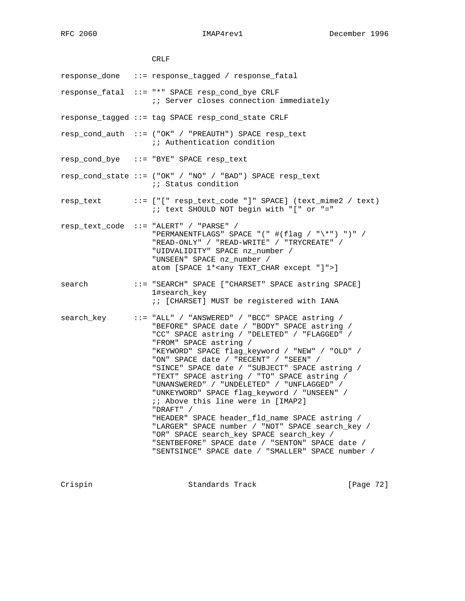CRLF response\_done ::= response\_tagged / response\_fatal response\_fatal ::= "\*" SPACE resp\_cond\_bye CRLF  $i$ ; Server closes connection immediately response\_tagged ::= tag SPACE resp\_cond\_state CRLF resp\_cond\_auth ::= ("OK" / "PREAUTH") SPACE resp\_text ;; Authentication condition resp\_cond\_bye ::= "BYE" SPACE resp\_text resp\_cond\_state ::= ("OK" / "NO" / "BAD") SPACE resp\_text ;; Status condition resp\_text ::= ["[" resp\_text\_code "]" SPACE] (text\_mime2 / text) ;; text SHOULD NOT begin with "[" or "=" resp\_text\_code ::= "ALERT" / "PARSE" / "PERMANENTFLAGS" SPACE "(" #(flag / "\\*") ")" / "READ-ONLY" / "READ-WRITE" / "TRYCREATE" / "UIDVALIDITY" SPACE nz\_number / "UNSEEN" SPACE nz\_number / atom [SPACE 1\*<any TEXT\_CHAR except "]">] search ::= "SEARCH" SPACE ["CHARSET" SPACE astring SPACE] 1#search\_key ;; [CHARSET] MUST be registered with IANA search\_key ::= "ALL" / "ANSWERED" / "BCC" SPACE astring / "BEFORE" SPACE date / "BODY" SPACE astring / "CC" SPACE astring / "DELETED" / "FLAGGED" / "FROM" SPACE astring / "KEYWORD" SPACE flag\_keyword / "NEW" / "OLD" / "ON" SPACE date / "RECENT" / "SEEN" / "SINCE" SPACE date / "SUBJECT" SPACE astring / "TEXT" SPACE astring / "TO" SPACE astring / "UNANSWERED" / "UNDELETED" / "UNFLAGGED" / "UNKEYWORD" SPACE flag\_keyword / "UNSEEN" / ;; Above this line were in [IMAP2] "DRAFT" / "HEADER" SPACE header\_fld\_name SPACE astring / "LARGER" SPACE number / "NOT" SPACE search\_key / "OR" SPACE search key SPACE search key / "SENTBEFORE" SPACE date / "SENTON" SPACE date / "SENTSINCE" SPACE date / "SMALLER" SPACE number /

Crispin Standards Track [Page 72]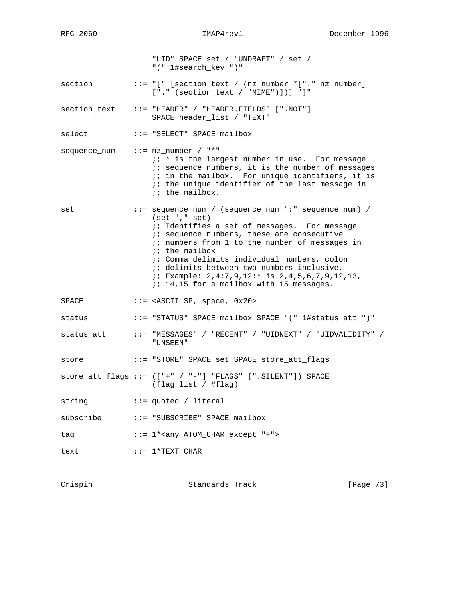"UID" SPACE set / "UNDRAFT" / set / "(" 1#search\_key ")" section ::= "[" [section\_text / (nz\_number \*["." nz\_number] ["." (section\_text / "MIME")])] "]" section\_text ::= "HEADER" / "HEADER.FIELDS" [".NOT"] SPACE header\_list / "TEXT" select ::= "SELECT" SPACE mailbox sequence\_num ::= nz\_number / "\*" ;; \* is the largest number in use. For message  $i$  sequence numbers, it is the number of messages ;; in the mailbox. For unique identifiers, it is  $i$ ; the unique identifier of the last message in ;; the mailbox. set ::= sequence\_num / (sequence\_num ":" sequence\_num) / (set "," set) *i*; Identifies a set of messages. For message  $i$  sequence numbers, these are consecutive ;; numbers from 1 to the number of messages in ;; the mailbox ;; Comma delimits individual numbers, colon  $\ldots$  ; delimits between two numbers inclusive. ;; Example: 2,4:7,9,12:\* is 2,4,5,6,7,9,12,13, ;; 14,15 for a mailbox with 15 messages. SPACE ::= <ASCII SP, space, 0x20> status ::= "STATUS" SPACE mailbox SPACE "(" 1#status\_att ")" status\_att ::= "MESSAGES" / "RECENT" / "UIDNEXT" / "UIDVALIDITY" / "UNSEEN" store ::= "STORE" SPACE set SPACE store\_att\_flags store\_att\_flags ::= (["+" / "-"] "FLAGS" [".SILENT"]) SPACE (flag\_list / #flag) string  $\cdots$  = quoted / literal subscribe ::= "SUBSCRIBE" SPACE mailbox tag  $::= 1**any* ATOM_CHAR except "+">$ text ::= 1\*TEXT\_CHAR

Crispin Standards Track [Page 73]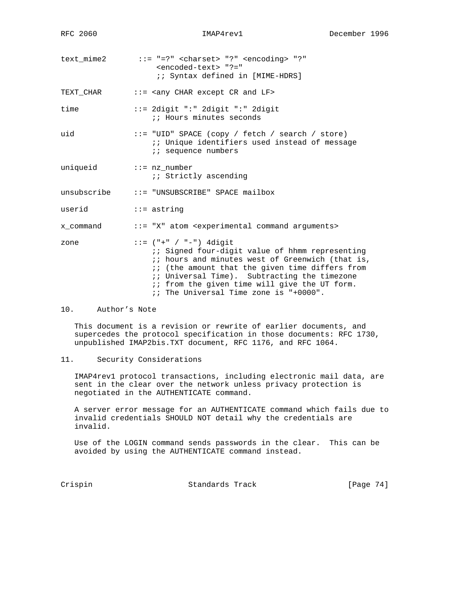| text mime2 | $::= "=?" <$ charset> "?" <encoding> "?"</encoding> |  |
|------------|-----------------------------------------------------|--|
|            | <encoded-text> "?="</encoded-text>                  |  |
|            | <i>i:</i> Syntax defined in [MIME-HDRS]             |  |
|            |                                                     |  |

TEXT\_CHAR ::= <any CHAR except CR and LF>

time ::= 2digit ":" 2digit ":" 2digit *i*; Hours minutes seconds

uid ::= "UID" SPACE (copy / fetch / search / store) ;; Unique identifiers used instead of message *i* i sequence numbers

uniqueid ::= nz\_number ;; Strictly ascending

unsubscribe ::= "UNSUBSCRIBE" SPACE mailbox

userid ::= astring

x\_command ::= "X" atom <experimental command arguments>

| zone | $::=$ ("+" / "-") 4digit                         |
|------|--------------------------------------------------|
|      | :: Signed four-digit value of hhmm representing  |
|      | :; hours and minutes west of Greenwich (that is, |
|      | :: (the amount that the given time differs from  |
|      | :; Universal Time). Subtracting the timezone     |
|      | :; from the given time will give the UT form.    |
|      | :: The Universal Time zone is "+0000".           |

# 10. Author's Note

 This document is a revision or rewrite of earlier documents, and supercedes the protocol specification in those documents: RFC 1730, unpublished IMAP2bis.TXT document, RFC 1176, and RFC 1064.

## 11. Security Considerations

 IMAP4rev1 protocol transactions, including electronic mail data, are sent in the clear over the network unless privacy protection is negotiated in the AUTHENTICATE command.

 A server error message for an AUTHENTICATE command which fails due to invalid credentials SHOULD NOT detail why the credentials are invalid.

 Use of the LOGIN command sends passwords in the clear. This can be avoided by using the AUTHENTICATE command instead.

Crispin Standards Track [Page 74]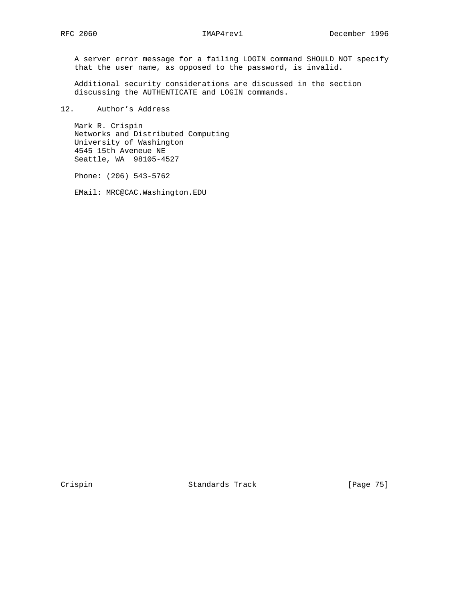A server error message for a failing LOGIN command SHOULD NOT specify that the user name, as opposed to the password, is invalid.

 Additional security considerations are discussed in the section discussing the AUTHENTICATE and LOGIN commands.

12. Author's Address

 Mark R. Crispin Networks and Distributed Computing University of Washington 4545 15th Aveneue NE Seattle, WA 98105-4527

Phone: (206) 543-5762

EMail: MRC@CAC.Washington.EDU

Crispin Standards Track [Page 75]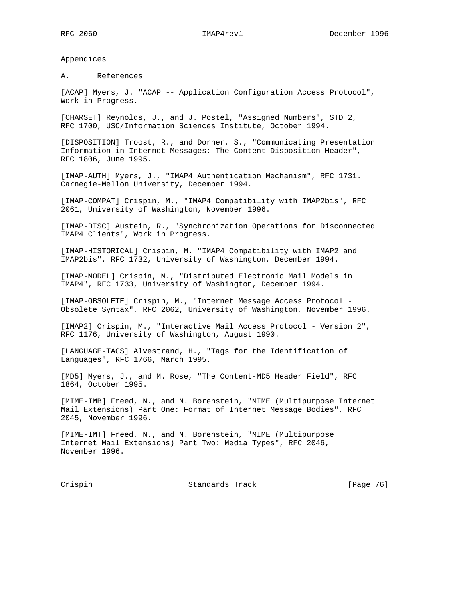Appendices

A. References

[ACAP] Myers, J. "ACAP -- Application Configuration Access Protocol", Work in Progress.

[CHARSET] Reynolds, J., and J. Postel, "Assigned Numbers", STD 2, RFC 1700, USC/Information Sciences Institute, October 1994.

[DISPOSITION] Troost, R., and Dorner, S., "Communicating Presentation Information in Internet Messages: The Content-Disposition Header", RFC 1806, June 1995.

[IMAP-AUTH] Myers, J., "IMAP4 Authentication Mechanism", RFC 1731. Carnegie-Mellon University, December 1994.

[IMAP-COMPAT] Crispin, M., "IMAP4 Compatibility with IMAP2bis", RFC 2061, University of Washington, November 1996.

[IMAP-DISC] Austein, R., "Synchronization Operations for Disconnected IMAP4 Clients", Work in Progress.

[IMAP-HISTORICAL] Crispin, M. "IMAP4 Compatibility with IMAP2 and IMAP2bis", RFC 1732, University of Washington, December 1994.

[IMAP-MODEL] Crispin, M., "Distributed Electronic Mail Models in IMAP4", RFC 1733, University of Washington, December 1994.

[IMAP-OBSOLETE] Crispin, M., "Internet Message Access Protocol - Obsolete Syntax", RFC 2062, University of Washington, November 1996.

[IMAP2] Crispin, M., "Interactive Mail Access Protocol - Version 2", RFC 1176, University of Washington, August 1990.

[LANGUAGE-TAGS] Alvestrand, H., "Tags for the Identification of Languages", RFC 1766, March 1995.

[MD5] Myers, J., and M. Rose, "The Content-MD5 Header Field", RFC 1864, October 1995.

[MIME-IMB] Freed, N., and N. Borenstein, "MIME (Multipurpose Internet Mail Extensions) Part One: Format of Internet Message Bodies", RFC 2045, November 1996.

[MIME-IMT] Freed, N., and N. Borenstein, "MIME (Multipurpose Internet Mail Extensions) Part Two: Media Types", RFC 2046, November 1996.

Crispin Crispin Standards Track [Page 76]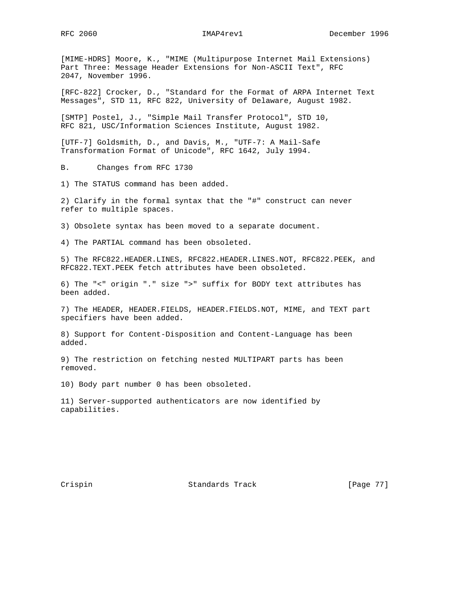[MIME-HDRS] Moore, K., "MIME (Multipurpose Internet Mail Extensions) Part Three: Message Header Extensions for Non-ASCII Text", RFC 2047, November 1996.

[RFC-822] Crocker, D., "Standard for the Format of ARPA Internet Text Messages", STD 11, RFC 822, University of Delaware, August 1982.

[SMTP] Postel, J., "Simple Mail Transfer Protocol", STD 10, RFC 821, USC/Information Sciences Institute, August 1982.

[UTF-7] Goldsmith, D., and Davis, M., "UTF-7: A Mail-Safe Transformation Format of Unicode", RFC 1642, July 1994.

B. Changes from RFC 1730

1) The STATUS command has been added.

2) Clarify in the formal syntax that the "#" construct can never refer to multiple spaces.

3) Obsolete syntax has been moved to a separate document.

4) The PARTIAL command has been obsoleted.

5) The RFC822.HEADER.LINES, RFC822.HEADER.LINES.NOT, RFC822.PEEK, and RFC822.TEXT.PEEK fetch attributes have been obsoleted.

6) The "<" origin "." size ">" suffix for BODY text attributes has been added.

7) The HEADER, HEADER.FIELDS, HEADER.FIELDS.NOT, MIME, and TEXT part specifiers have been added.

8) Support for Content-Disposition and Content-Language has been added.

9) The restriction on fetching nested MULTIPART parts has been removed.

10) Body part number 0 has been obsoleted.

11) Server-supported authenticators are now identified by capabilities.

Crispin Standards Track [Page 77]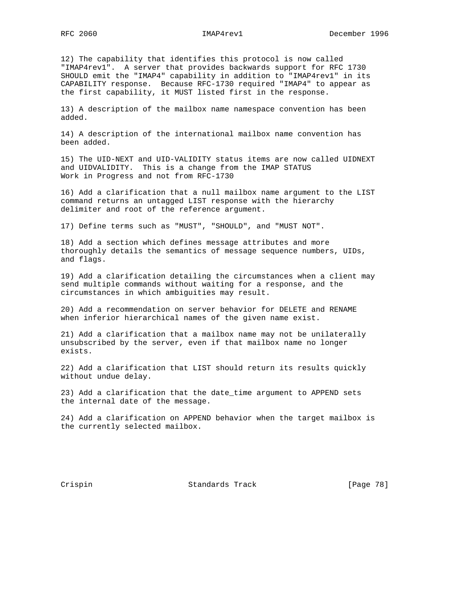12) The capability that identifies this protocol is now called "IMAP4rev1". A server that provides backwards support for RFC 1730 SHOULD emit the "IMAP4" capability in addition to "IMAP4rev1" in its CAPABILITY response. Because RFC-1730 required "IMAP4" to appear as the first capability, it MUST listed first in the response.

13) A description of the mailbox name namespace convention has been added.

14) A description of the international mailbox name convention has been added.

15) The UID-NEXT and UID-VALIDITY status items are now called UIDNEXT and UIDVALIDITY. This is a change from the IMAP STATUS Work in Progress and not from RFC-1730

16) Add a clarification that a null mailbox name argument to the LIST command returns an untagged LIST response with the hierarchy delimiter and root of the reference argument.

17) Define terms such as "MUST", "SHOULD", and "MUST NOT".

18) Add a section which defines message attributes and more thoroughly details the semantics of message sequence numbers, UIDs, and flags.

19) Add a clarification detailing the circumstances when a client may send multiple commands without waiting for a response, and the circumstances in which ambiguities may result.

20) Add a recommendation on server behavior for DELETE and RENAME when inferior hierarchical names of the given name exist.

21) Add a clarification that a mailbox name may not be unilaterally unsubscribed by the server, even if that mailbox name no longer exists.

22) Add a clarification that LIST should return its results quickly without undue delay.

23) Add a clarification that the date\_time argument to APPEND sets the internal date of the message.

24) Add a clarification on APPEND behavior when the target mailbox is the currently selected mailbox.

Crispin Standards Track [Page 78]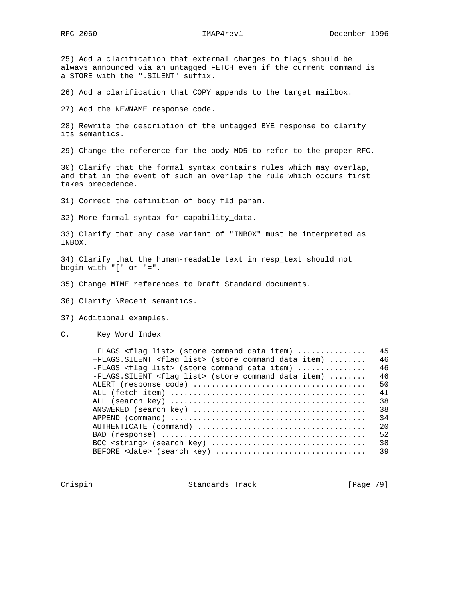25) Add a clarification that external changes to flags should be always announced via an untagged FETCH even if the current command is a STORE with the ".SILENT" suffix.

26) Add a clarification that COPY appends to the target mailbox.

27) Add the NEWNAME response code.

28) Rewrite the description of the untagged BYE response to clarify its semantics.

29) Change the reference for the body MD5 to refer to the proper RFC.

30) Clarify that the formal syntax contains rules which may overlap, and that in the event of such an overlap the rule which occurs first takes precedence.

31) Correct the definition of body\_fld\_param.

32) More formal syntax for capability\_data.

33) Clarify that any case variant of "INBOX" must be interpreted as INBOX.

34) Clarify that the human-readable text in resp\_text should not begin with "[" or "=".

- 35) Change MIME references to Draft Standard documents.
- 36) Clarify \Recent semantics.
- 37) Additional examples.
- C. Key Word Index

| +FLAGS <flag list=""> (store command data item) <br/>+FLAGS. SILENT <flag list=""> (store command data item) </flag></flag> | 45<br>46 |
|-----------------------------------------------------------------------------------------------------------------------------|----------|
| -FLAGS <flag list=""> (store command data item) </flag>                                                                     | 46       |
| -FLAGS. SILENT <flag list=""> (store command data item) </flag>                                                             | 46       |
|                                                                                                                             | 50       |
|                                                                                                                             | 41       |
|                                                                                                                             | 38       |
|                                                                                                                             | 38       |
| $APPEND (command)                  $                                                                                        | 34       |
|                                                                                                                             | 20       |
|                                                                                                                             | 52       |
|                                                                                                                             | 38       |
| BEFORE <date> (search key) </date>                                                                                          | 39       |

Crispin Crispin Standards Track [Page 79]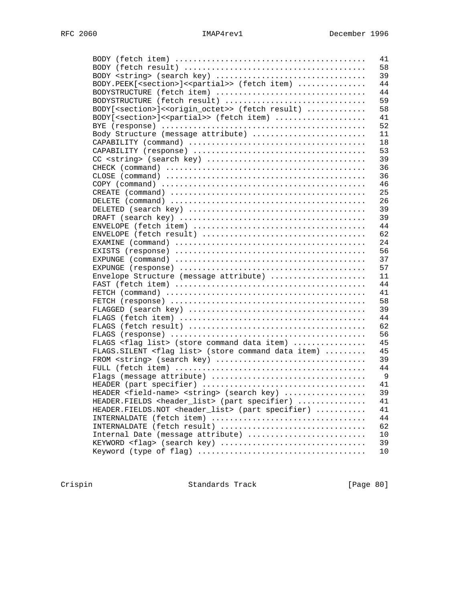|                                                                                 | 41 |
|---------------------------------------------------------------------------------|----|
|                                                                                 | 58 |
| BODY <string> (search key) </string>                                            | 39 |
| BODY.PEEK[ <section>]&lt;<partial>&gt; (fetch item) </partial></section>        | 44 |
| BODYSTRUCTURE (fetch item)                                                      | 44 |
| BODYSTRUCTURE (fetch result)                                                    | 59 |
| BODY[ <section>]&lt;<origin_octet>&gt; (fetch result) </origin_octet></section> | 58 |
| BODY[ <section>]&lt;<partial>&gt; (fetch item) </partial></section>             | 41 |
|                                                                                 | 52 |
| Body Structure (message attribute)                                              | 11 |
|                                                                                 | 18 |
|                                                                                 | 53 |
|                                                                                 | 39 |
|                                                                                 | 36 |
|                                                                                 | 36 |
|                                                                                 | 46 |
|                                                                                 | 25 |
|                                                                                 | 26 |
|                                                                                 | 39 |
|                                                                                 | 39 |
|                                                                                 | 44 |
|                                                                                 | 62 |
|                                                                                 | 24 |
|                                                                                 | 56 |
|                                                                                 | 37 |
|                                                                                 | 57 |
|                                                                                 | 11 |
| Envelope Structure (message attribute)                                          | 44 |
|                                                                                 | 41 |
|                                                                                 |    |
|                                                                                 | 58 |
|                                                                                 | 39 |
|                                                                                 | 44 |
|                                                                                 | 62 |
|                                                                                 | 56 |
| FLAGS <flag list=""> (store command data item) </flag>                          | 45 |
| FLAGS. SILENT <flag list=""> (store command data item) </flag>                  | 45 |
| FROM <string> (search key) </string>                                            | 39 |
|                                                                                 | 44 |
|                                                                                 | 9  |
|                                                                                 | 41 |
| HEADER <field-name> <string> (search key) </string></field-name>                | 39 |
| HEADER.FIELDS <header_list> (part specifier) </header_list>                     | 41 |
| HEADER. FIELDS. NOT <header_list> (part specifier) </header_list>               | 41 |
| INTERNALDATE (fetch item)                                                       | 44 |
| INTERNALDATE (fetch result)                                                     | 62 |
| Internal Date (message attribute)                                               | 10 |
| KEYWORD <flag> (search key) </flag>                                             | 39 |
|                                                                                 | 10 |

Crispin Standards Track [Page 80]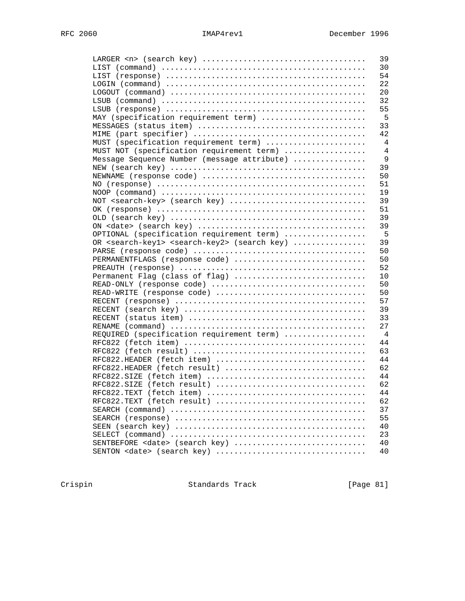|                                                                          | 39             |
|--------------------------------------------------------------------------|----------------|
|                                                                          | 30             |
|                                                                          | 54             |
|                                                                          | 22             |
|                                                                          | 20             |
|                                                                          | 32             |
|                                                                          | 55             |
| MAY (specification requirement term)                                     | 5              |
|                                                                          | 33             |
|                                                                          | 42             |
| MUST (specification requirement term)                                    | 4              |
| MUST NOT (specification requirement term)                                | 4              |
| Message Sequence Number (message attribute)                              | 9              |
|                                                                          | 39             |
|                                                                          | 50             |
|                                                                          | 51             |
|                                                                          | 19             |
| NOT <search-key> (search key) </search-key>                              | 39             |
|                                                                          | 51             |
|                                                                          | 39             |
|                                                                          | 39             |
| OPTIONAL (specification requirement term)                                | 5              |
| OR <search-key1> <search-key2> (search key) </search-key2></search-key1> | 39             |
|                                                                          | 50             |
| PERMANENTFLAGS (response code)                                           | 50             |
|                                                                          | 52             |
|                                                                          |                |
| Permanent Flag (class of flag)                                           | 10             |
| READ-ONLY (response code)                                                | 50             |
| READ-WRITE (response code)                                               | 50             |
|                                                                          | 57             |
|                                                                          | 39             |
|                                                                          | 33             |
|                                                                          | 27             |
| REQUIRED (specification requirement term)                                | $\overline{4}$ |
|                                                                          | 44             |
|                                                                          | 63             |
| RFC822.HEADER (fetch item)                                               | 44             |
| RFC822.HEADER (fetch result)                                             | 62             |
|                                                                          | 44             |
| RFC822.SIZE (fetch result)                                               | 62             |
|                                                                          | 44             |
| RFC822.TEXT (fetch result)                                               | 62             |
|                                                                          | 37             |
|                                                                          | 55             |
|                                                                          | 40             |
|                                                                          | 23             |
| SENTBEFORE <date> (search key) </date>                                   | 40             |
|                                                                          | 40             |

Crispin Standards Track [Page 81]